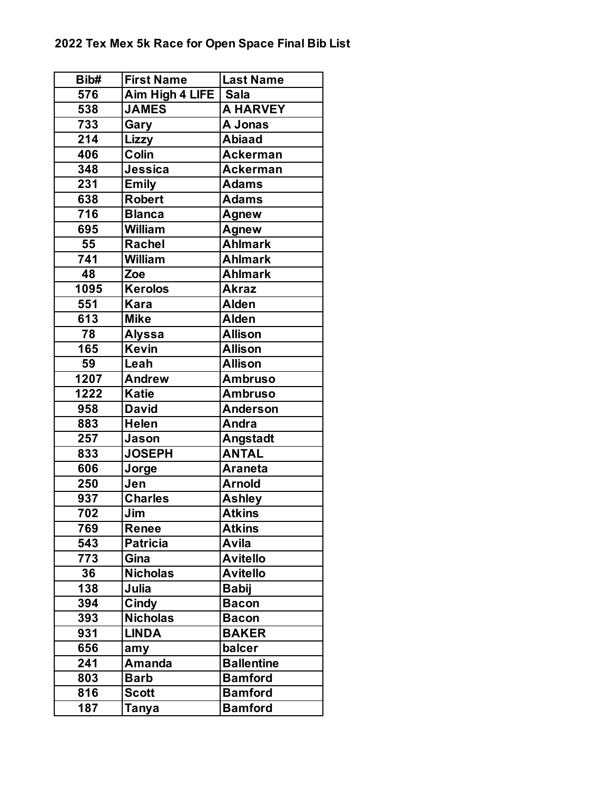| Bib# | <b>First Name</b> | <b>Last Name</b>  |
|------|-------------------|-------------------|
| 576  | Aim High 4 LIFE   | <b>Sala</b>       |
| 538  | <b>JAMES</b>      | <b>A HARVEY</b>   |
| 733  | Gary              | A Jonas           |
| 214  | Lizzy             | <b>Abiaad</b>     |
| 406  | Colin             | <b>Ackerman</b>   |
| 348  | Jessica           | <b>Ackerman</b>   |
| 231  | <b>Emily</b>      | <b>Adams</b>      |
| 638  | <b>Robert</b>     | <b>Adams</b>      |
| 716  | <b>Blanca</b>     | Agnew             |
| 695  | <b>William</b>    | Agnew             |
| 55   | <b>Rachel</b>     | <b>Ahlmark</b>    |
| 741  | <b>William</b>    | <b>Ahlmark</b>    |
| 48   | Zoe               | <b>Ahlmark</b>    |
| 1095 | <b>Kerolos</b>    | <b>Akraz</b>      |
| 551  | <b>Kara</b>       | Alden             |
| 613  | <b>Mike</b>       | <b>Alden</b>      |
| 78   | <b>Alyssa</b>     | <b>Allison</b>    |
| 165  | <b>Kevin</b>      | <b>Allison</b>    |
| 59   | Leah              | <b>Allison</b>    |
| 1207 | <b>Andrew</b>     | <b>Ambruso</b>    |
| 1222 | <b>Katie</b>      | <b>Ambruso</b>    |
| 958  | <b>David</b>      | <b>Anderson</b>   |
| 883  | <b>Helen</b>      | Andra             |
| 257  | Jason             | Angstadt          |
| 833  | <b>JOSEPH</b>     | <b>ANTAL</b>      |
| 606  | Jorge             | <b>Araneta</b>    |
| 250  | Jen               | <b>Arnold</b>     |
| 937  | <b>Charles</b>    | <b>Ashley</b>     |
| 702  | Jim               | <b>Atkins</b>     |
| 769  | <b>Renee</b>      | <b>Atkins</b>     |
| 543  | <b>Patricia</b>   | Avila             |
| 773  | Gina              | <b>Avitello</b>   |
| 36   | <b>Nicholas</b>   | <b>Avitello</b>   |
| 138  | Julia             | <b>Babij</b>      |
| 394  | Cindy             | <b>Bacon</b>      |
| 393  | <b>Nicholas</b>   | <b>Bacon</b>      |
| 931  | <b>LINDA</b>      | <b>BAKER</b>      |
| 656  | amy               | balcer            |
| 241  | <b>Amanda</b>     | <b>Ballentine</b> |
| 803  | <b>Barb</b>       | <b>Bamford</b>    |
| 816  | <b>Scott</b>      | <b>Bamford</b>    |
| 187  | Tanya             | <b>Bamford</b>    |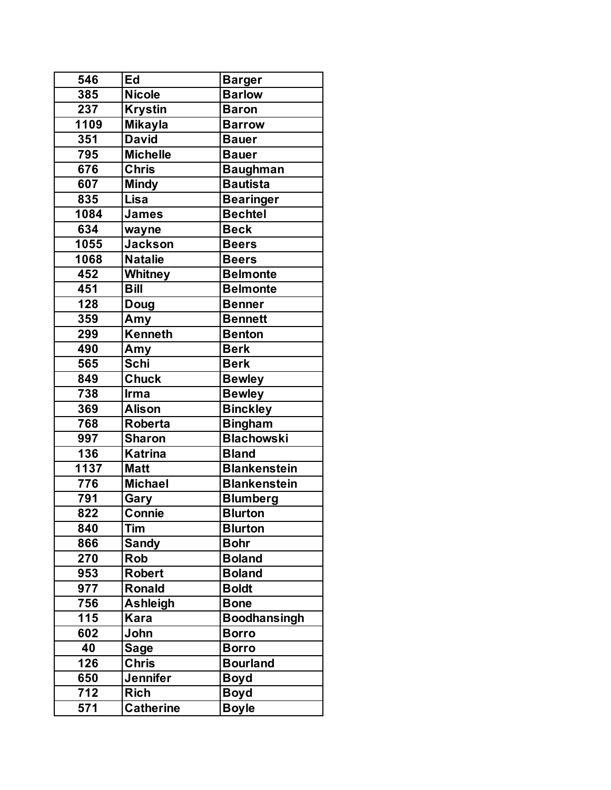| 546  | Ed               | <b>Barger</b>       |
|------|------------------|---------------------|
| 385  | <b>Nicole</b>    | <b>Barlow</b>       |
| 237  | <b>Krystin</b>   | <b>Baron</b>        |
| 1109 | <b>Mikayla</b>   | <b>Barrow</b>       |
| 351  | <b>David</b>     | <b>Bauer</b>        |
| 795  | <b>Michelle</b>  | <b>Bauer</b>        |
| 676  | <b>Chris</b>     | <b>Baughman</b>     |
| 607  | <b>Mindy</b>     | <b>Bautista</b>     |
| 835  | Lisa             | <b>Bearinger</b>    |
| 1084 | <b>James</b>     | <b>Bechtel</b>      |
| 634  | wayne            | <b>Beck</b>         |
| 1055 | <b>Jackson</b>   | <b>Beers</b>        |
| 1068 | <b>Natalie</b>   | <b>Beers</b>        |
| 452  | <b>Whitney</b>   | <b>Belmonte</b>     |
| 451  | <b>Bill</b>      | <b>Belmonte</b>     |
| 128  | <b>Doug</b>      | <b>Benner</b>       |
| 359  | Amy              | <b>Bennett</b>      |
| 299  | <b>Kenneth</b>   | <b>Benton</b>       |
| 490  | Amy              | <b>Berk</b>         |
| 565  | Schi             | <b>Berk</b>         |
| 849  | <b>Chuck</b>     | <b>Bewley</b>       |
| 738  | Irma             | <b>Bewley</b>       |
| 369  | <b>Alison</b>    | <b>Binckley</b>     |
| 768  | <b>Roberta</b>   | <b>Bingham</b>      |
| 997  | <b>Sharon</b>    | <b>Blachowski</b>   |
| 136  | <b>Katrina</b>   | <b>Bland</b>        |
| 1137 | <b>Matt</b>      | <b>Blankenstein</b> |
| 776  | <b>Michael</b>   | <b>Blankenstein</b> |
| 791  | Gary             | <b>Blumberg</b>     |
| 822  | Connie           | <b>Blurton</b>      |
| 840  | Tim              | <b>Blurton</b>      |
| 866  | <b>Sandy</b>     | <b>Bohr</b>         |
| 270  | <b>Rob</b>       | <b>Boland</b>       |
| 953  | <b>Robert</b>    | <b>Boland</b>       |
| 977  | Ronald           | <b>Boldt</b>        |
| 756  | <b>Ashleigh</b>  | <b>Bone</b>         |
| 115  | <b>Kara</b>      | <b>Boodhansingh</b> |
| 602  | John             | <b>Borro</b>        |
| 40   | <b>Sage</b>      | <b>Borro</b>        |
| 126  | <b>Chris</b>     | <b>Bourland</b>     |
| 650  | <b>Jennifer</b>  | <b>Boyd</b>         |
| 712  | <b>Rich</b>      | <b>Boyd</b>         |
| 571  | <b>Catherine</b> | <b>Boyle</b>        |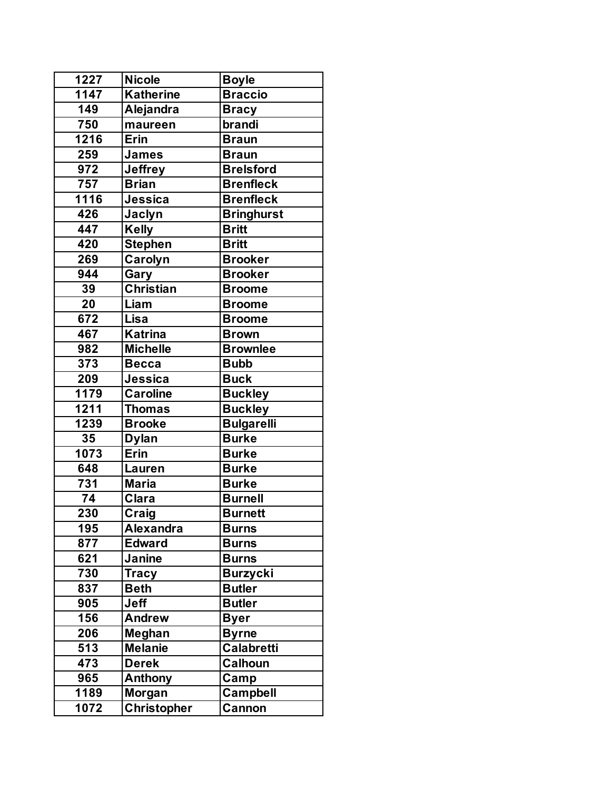| 1227            | <b>Nicole</b>      | <b>Boyle</b>      |
|-----------------|--------------------|-------------------|
| 1147            | <b>Katherine</b>   | <b>Braccio</b>    |
| 149             | Alejandra          | <b>Bracy</b>      |
| 750             | maureen            | brandi            |
| 1216            | <b>Erin</b>        | <b>Braun</b>      |
| 259             | <b>James</b>       | <b>Braun</b>      |
| 972             | <b>Jeffrey</b>     | <b>Brelsford</b>  |
| 757             | <b>Brian</b>       | <b>Brenfleck</b>  |
| 1116            | <b>Jessica</b>     | <b>Brenfleck</b>  |
| 426             | Jaclyn             | <b>Bringhurst</b> |
| 447             | <b>Kelly</b>       | <b>Britt</b>      |
| 420             | <b>Stephen</b>     | <b>Britt</b>      |
| 269             | Carolyn            | <b>Brooker</b>    |
| 944             | Gary               | <b>Brooker</b>    |
| 39              | <b>Christian</b>   | <b>Broome</b>     |
| $\overline{20}$ | Liam               | <b>Broome</b>     |
| 672             | Lisa               | <b>Broome</b>     |
| 467             | <b>Katrina</b>     | <b>Brown</b>      |
| 982             | <b>Michelle</b>    | <b>Brownlee</b>   |
| 373             | <b>Becca</b>       | <b>Bubb</b>       |
| 209             | Jessica            | <b>Buck</b>       |
| 1179            | <b>Caroline</b>    | <b>Buckley</b>    |
| 1211            | <b>Thomas</b>      | <b>Buckley</b>    |
| 1239            | <b>Brooke</b>      | <b>Bulgarelli</b> |
| 35              | <b>Dylan</b>       | <b>Burke</b>      |
| 1073            | Erin               | <b>Burke</b>      |
| 648             | Lauren             | <b>Burke</b>      |
| 731             | <b>Maria</b>       | <b>Burke</b>      |
| 74              | <b>Clara</b>       | <b>Burnell</b>    |
| 230             | <b>Craig</b>       | <b>Burnett</b>    |
| 195             | <b>Alexandra</b>   | <b>Burns</b>      |
| 877             | <b>Edward</b>      | <b>Burns</b>      |
| 621             | Janine             | <b>Burns</b>      |
| 730             | <b>Tracy</b>       | <b>Burzycki</b>   |
| 837             | <b>Beth</b>        | <b>Butler</b>     |
| 905             | <b>Jeff</b>        | <b>Butler</b>     |
| 156             | <b>Andrew</b>      | <b>Byer</b>       |
| 206             | Meghan             | <b>Byrne</b>      |
| 513             | <b>Melanie</b>     | Calabretti        |
| 473             | <b>Derek</b>       | Calhoun           |
| 965             | Anthony            | Camp              |
| 1189            | Morgan             | Campbell          |
| 1072            | <b>Christopher</b> | Cannon            |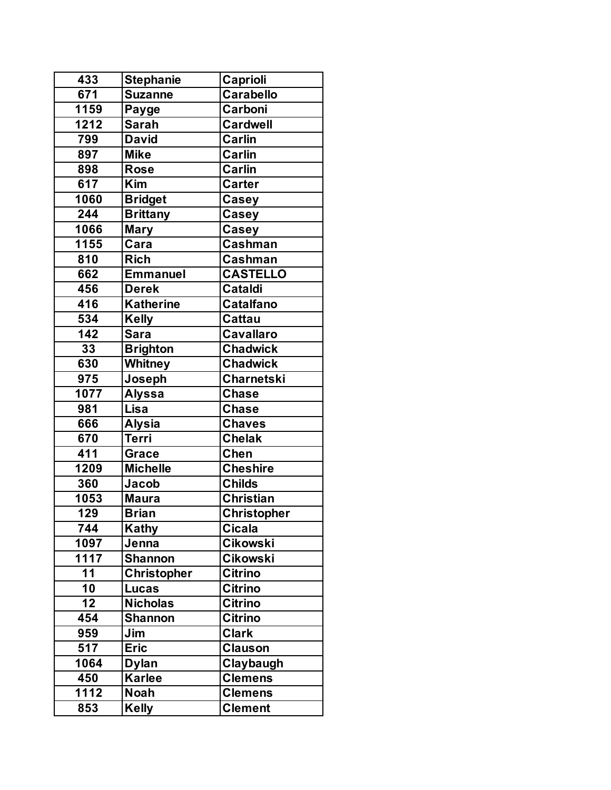| 433                | <b>Stephanie</b>   | Caprioli          |
|--------------------|--------------------|-------------------|
| $\overline{671}$   | <b>Suzanne</b>     | <b>Carabello</b>  |
| 1159               | Payge              | Carboni           |
| 1212               | <b>Sarah</b>       | <b>Cardwell</b>   |
| 799                | <b>David</b>       | Carlin            |
| 897                | <b>Mike</b>        | <b>Carlin</b>     |
| 898                | <b>Rose</b>        | Carlin            |
| 617                | <b>Kim</b>         | <b>Carter</b>     |
| 1060               | <b>Bridget</b>     | Casey             |
| 244                | <b>Brittany</b>    | Casey             |
| 1066               | <b>Mary</b>        | <b>Casey</b>      |
| $\overline{11}$ 55 | Cara               | <b>Cashman</b>    |
| 810                | <b>Rich</b>        | <b>Cashman</b>    |
| 662                | <b>Emmanuel</b>    | <b>CASTELLO</b>   |
| 456                | <b>Derek</b>       | <b>Cataldi</b>    |
| 416                | <b>Katherine</b>   | <b>Catalfano</b>  |
| 534                | <b>Kelly</b>       | <b>Cattau</b>     |
| 142                | <b>Sara</b>        | Cavallaro         |
| 33                 | <b>Brighton</b>    | <b>Chadwick</b>   |
| 630                | Whitney            | <b>Chadwick</b>   |
| 975                | Joseph             | <b>Charnetski</b> |
| 1077               | <b>Alyssa</b>      | <b>Chase</b>      |
| 981                | Lisa               | <b>Chase</b>      |
| 666                | <b>Alysia</b>      | <b>Chaves</b>     |
| 670                | <b>Terri</b>       | <b>Chelak</b>     |
| 411                | <b>Grace</b>       | <b>Chen</b>       |
| 1209               | <b>Michelle</b>    | <b>Cheshire</b>   |
| 360                | Jacob              | <b>Childs</b>     |
| 1053               | <b>Maura</b>       | <b>Christian</b>  |
| 129                | <b>Brian</b>       | Christopher       |
| 744                | <b>Kathy</b>       | <b>Cicala</b>     |
| 1097               | Jenna              | <b>Cikowski</b>   |
| 1117               | <b>Shannon</b>     | <b>Cikowski</b>   |
| 11                 | <b>Christopher</b> | <b>Citrino</b>    |
| 10                 | <b>Lucas</b>       | Citrino           |
| 12                 | <b>Nicholas</b>    | <b>Citrino</b>    |
| 454                | <b>Shannon</b>     | <b>Citrino</b>    |
| 959                | Jim                | <b>Clark</b>      |
| 517                | <b>Eric</b>        | <b>Clauson</b>    |
| 1064               | <b>Dylan</b>       | Claybaugh         |
| 450                | <b>Karlee</b>      | <b>Clemens</b>    |
| 1112               | <b>Noah</b>        | <b>Clemens</b>    |
| 853                | <b>Kelly</b>       | <b>Clement</b>    |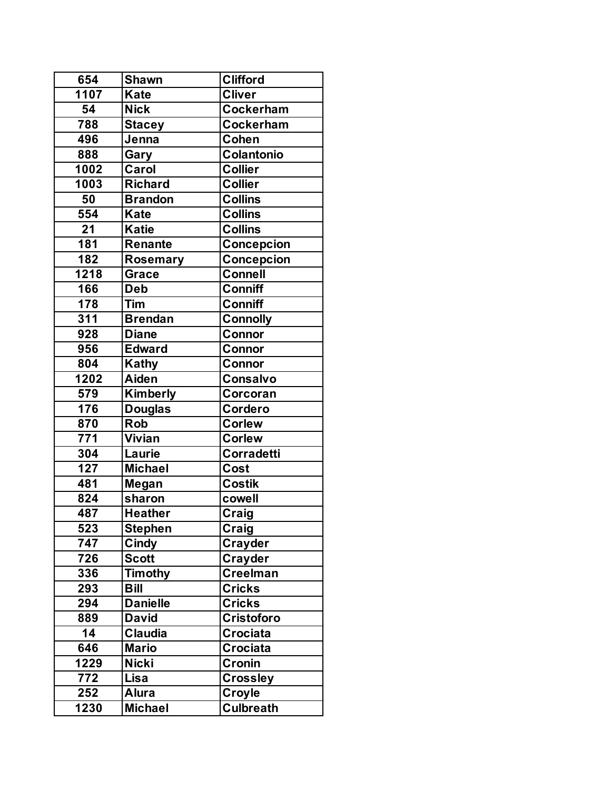| 654  | <b>Shawn</b>    | <b>Clifford</b>   |
|------|-----------------|-------------------|
| 1107 | <b>Kate</b>     | <b>Cliver</b>     |
| 54   | <b>Nick</b>     | <b>Cockerham</b>  |
| 788  | <b>Stacey</b>   | Cockerham         |
| 496  | Jenna           | Cohen             |
| 888  | Gary            | Colantonio        |
| 1002 | Carol           | <b>Collier</b>    |
| 1003 | <b>Richard</b>  | <b>Collier</b>    |
| 50   | <b>Brandon</b>  | <b>Collins</b>    |
| 554  | <b>Kate</b>     | <b>Collins</b>    |
| 21   | <b>Katie</b>    | <b>Collins</b>    |
| 181  | <b>Renante</b>  | Concepcion        |
| 182  | <b>Rosemary</b> | Concepcion        |
| 1218 | <b>Grace</b>    | <b>Connell</b>    |
| 166  | <b>Deb</b>      | <b>Conniff</b>    |
| 178  | Tim             | <b>Conniff</b>    |
| 311  | <b>Brendan</b>  | <b>Connolly</b>   |
| 928  | <b>Diane</b>    | Connor            |
| 956  | <b>Edward</b>   | <b>Connor</b>     |
| 804  | <b>Kathy</b>    | Connor            |
| 1202 | Aiden           | <b>Consalvo</b>   |
| 579  | Kimberly        | Corcoran          |
| 176  | <b>Douglas</b>  | Cordero           |
| 870  | <b>Rob</b>      | <b>Corlew</b>     |
| 771  | Vivian          | <b>Corlew</b>     |
| 304  | Laurie          | Corradetti        |
| 127  | <b>Michael</b>  | Cost              |
| 481  | Megan           | <b>Costik</b>     |
| 824  | sharon          | cowell            |
| 487  | <b>Heather</b>  | Craig             |
| 523  | <b>Stephen</b>  | Craig             |
| 747  | Cindy           | <b>Crayder</b>    |
| 726  | <b>Scott</b>    | Crayder           |
| 336  | <b>Timothy</b>  | <b>Creelman</b>   |
| 293  | <b>Bill</b>     | <b>Cricks</b>     |
| 294  | <b>Danielle</b> | <b>Cricks</b>     |
| 889  | <b>David</b>    | <b>Cristoforo</b> |
| 14   | <b>Claudia</b>  | <b>Crociata</b>   |
| 646  | <b>Mario</b>    | <b>Crociata</b>   |
| 1229 | <b>Nicki</b>    | Cronin            |
| 772  | Lisa            | <b>Crossley</b>   |
| 252  | <b>Alura</b>    | Croyle            |
| 1230 | <b>Michael</b>  | <b>Culbreath</b>  |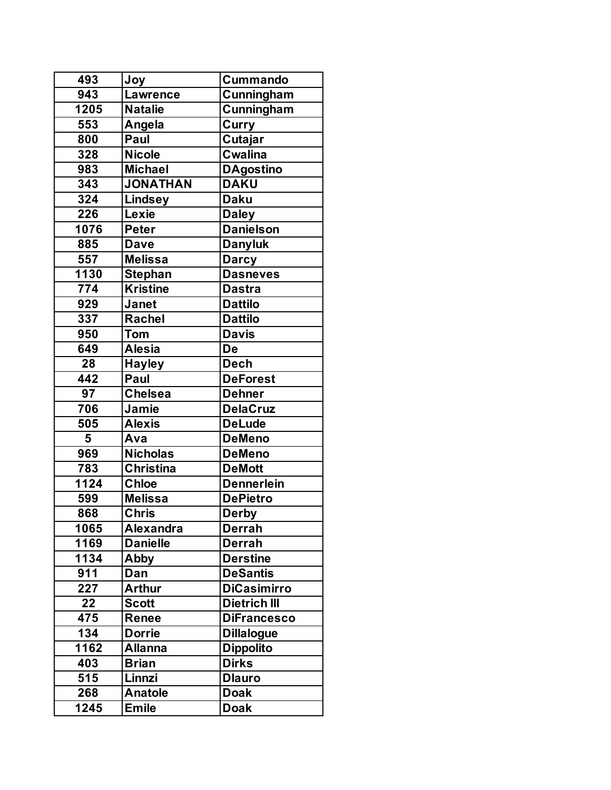| 493              | Joy              | <b>Cummando</b>     |
|------------------|------------------|---------------------|
| $\overline{943}$ | <b>Lawrence</b>  | Cunningham          |
| 1205             | <b>Natalie</b>   | Cunningham          |
| 553              | Angela           | Curry               |
| 800              | Paul             | Cutajar             |
| 328              | <b>Nicole</b>    | <b>Cwalina</b>      |
| 983              | <b>Michael</b>   | <b>DAgostino</b>    |
| 343              | <b>JONATHAN</b>  | <b>DAKU</b>         |
| 324              | <b>Lindsey</b>   | <b>Daku</b>         |
| 226              | Lexie            | <b>Daley</b>        |
| 1076             | <b>Peter</b>     | <b>Danielson</b>    |
| 885              | <b>Dave</b>      | <b>Danyluk</b>      |
| 557              | <b>Melissa</b>   | <b>Darcy</b>        |
| 1130             | <b>Stephan</b>   | <b>Dasneves</b>     |
| 774              | <b>Kristine</b>  | <b>Dastra</b>       |
| 929              | Janet            | <b>Dattilo</b>      |
| 337              | Rachel           | <b>Dattilo</b>      |
| 950              | <b>Tom</b>       | <b>Davis</b>        |
| 649              | <b>Alesia</b>    | De                  |
| $\overline{28}$  | <b>Hayley</b>    | <b>Dech</b>         |
| 442              | Paul             | <b>DeForest</b>     |
| 97               | <b>Chelsea</b>   | <b>Dehner</b>       |
| 706              | Jamie            | <b>DelaCruz</b>     |
| 505              | <b>Alexis</b>    | <b>DeLude</b>       |
| 5                | Ava              | <b>DeMeno</b>       |
| 969              | <b>Nicholas</b>  | <b>DeMeno</b>       |
| 783              | <b>Christina</b> | <b>DeMott</b>       |
| 1124             | <b>Chloe</b>     | <b>Dennerlein</b>   |
| 599              | <b>Melissa</b>   | <b>DePietro</b>     |
| 868              | <b>Chris</b>     | <b>Derby</b>        |
| 1065             | <b>Alexandra</b> | <b>Derrah</b>       |
| 1169             | <b>Danielle</b>  | <b>Derrah</b>       |
| 1134             | Abby             | <b>Derstine</b>     |
| 911              | Dan              | <b>DeSantis</b>     |
| 227              | <b>Arthur</b>    | <b>DiCasimirro</b>  |
| 22               | <b>Scott</b>     | <b>Dietrich III</b> |
| 475              | Renee            | <b>DiFrancesco</b>  |
| 134              | <b>Dorrie</b>    | <b>Dillalogue</b>   |
| 1162             | <b>Allanna</b>   | <b>Dippolito</b>    |
| 403              | <b>Brian</b>     | <b>Dirks</b>        |
| 515              | Linnzi           | <b>Dlauro</b>       |
| 268              | <b>Anatole</b>   | <b>Doak</b>         |
| 1245             | <b>Emile</b>     | <b>Doak</b>         |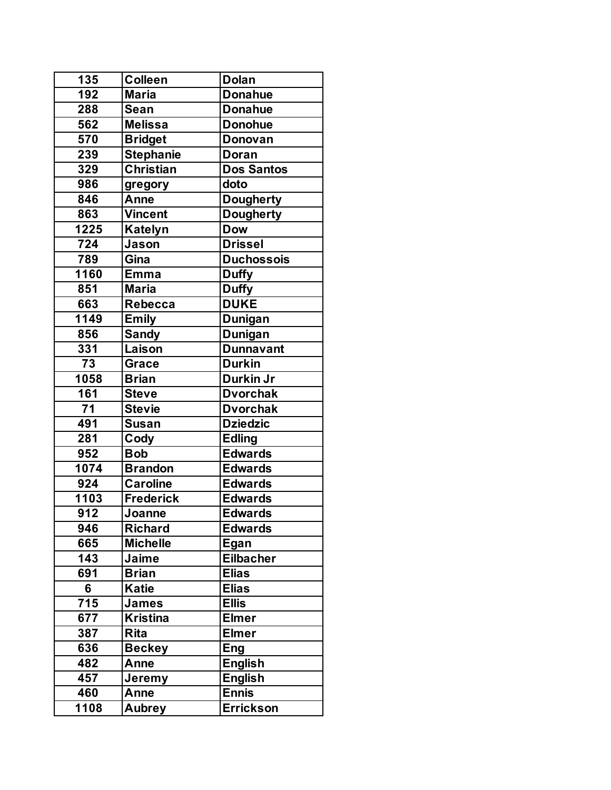| 135              | <b>Colleen</b>   | <b>Dolan</b>      |
|------------------|------------------|-------------------|
| $\overline{192}$ | <b>Maria</b>     | <b>Donahue</b>    |
| 288              | Sean             | <b>Donahue</b>    |
| 562              | <b>Melissa</b>   | <b>Donohue</b>    |
| 570              | <b>Bridget</b>   | <b>Donovan</b>    |
| 239              | <b>Stephanie</b> | Doran             |
| 329              | Christian        | <b>Dos Santos</b> |
| 986              | gregory          | doto              |
| 846              | Anne             | <b>Dougherty</b>  |
| 863              | <b>Vincent</b>   | <b>Dougherty</b>  |
| 1225             | <b>Katelyn</b>   | <b>Dow</b>        |
| 724              | Jason            | <b>Drissel</b>    |
| 789              | Gina             | <b>Duchossois</b> |
| 1160             | <b>Emma</b>      | <b>Duffy</b>      |
| 851              | <b>Maria</b>     | <b>Duffy</b>      |
| 663              | <b>Rebecca</b>   | <b>DUKE</b>       |
| 1149             | <b>Emily</b>     | <b>Dunigan</b>    |
| 856              | <b>Sandy</b>     | <b>Dunigan</b>    |
| 331              | Laison           | <b>Dunnavant</b>  |
| $\overline{73}$  | <b>Grace</b>     | <b>Durkin</b>     |
| 1058             | <b>Brian</b>     | Durkin Jr         |
| 161              | <b>Steve</b>     | <b>Dvorchak</b>   |
| 71               | <b>Stevie</b>    | <b>Dvorchak</b>   |
| 491              | <b>Susan</b>     | <b>Dziedzic</b>   |
| 281              | Cody             | <b>Edling</b>     |
| 952              | <b>Bob</b>       | <b>Edwards</b>    |
| 1074             | <b>Brandon</b>   | <b>Edwards</b>    |
| 924              | <b>Caroline</b>  | <b>Edwards</b>    |
| 1103             | <b>Frederick</b> | <b>Edwards</b>    |
| 912              | Joanne           | <b>Edwards</b>    |
| 946              | <b>Richard</b>   | <b>Edwards</b>    |
| 665              | <b>Michelle</b>  | Egan              |
| 143              | Jaime            | <b>Eilbacher</b>  |
| 691              | <b>Brian</b>     | <b>Elias</b>      |
| 6                | Katie            | <b>Elias</b>      |
| 715              | <b>James</b>     | <b>Ellis</b>      |
| 677              | <b>Kristina</b>  | <b>Elmer</b>      |
| 387              | <b>Rita</b>      | <b>Elmer</b>      |
| 636              | <b>Beckey</b>    | Eng               |
| 482              | Anne             | <b>English</b>    |
| 457              | Jeremy           | <b>English</b>    |
| 460              | Anne             | <b>Ennis</b>      |
| 1108             | <b>Aubrey</b>    | <b>Errickson</b>  |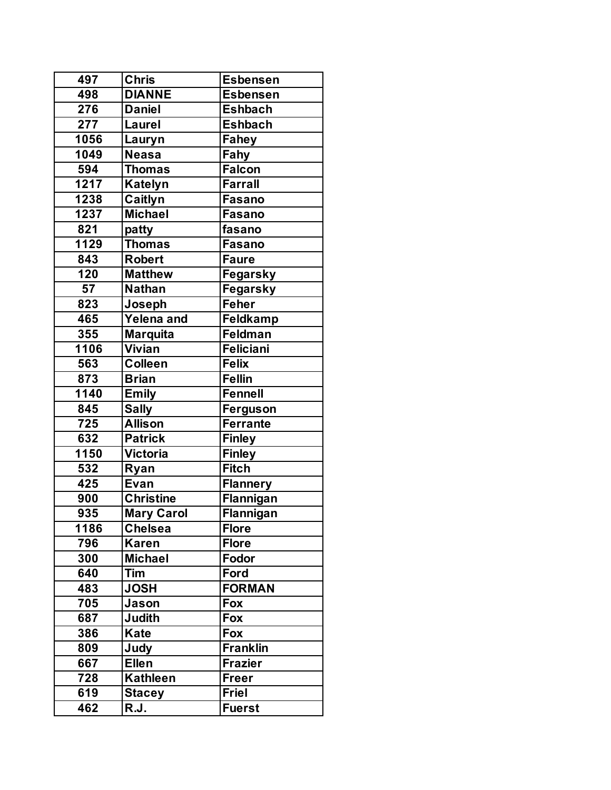| 497  | <b>Chris</b>      | <b>Esbensen</b>  |
|------|-------------------|------------------|
| 498  | <b>DIANNE</b>     | <b>Esbensen</b>  |
| 276  | <b>Daniel</b>     | <b>Eshbach</b>   |
| 277  | Laurel            | <b>Eshbach</b>   |
| 1056 | Lauryn            | Fahey            |
| 1049 | <b>Neasa</b>      | Fahy             |
| 594  | <b>Thomas</b>     | Falcon           |
| 1217 | Katelyn           | <b>Farrall</b>   |
| 1238 | Caitlyn           | <b>Fasano</b>    |
| 1237 | <b>Michael</b>    | <b>Fasano</b>    |
| 821  | patty             | fasano           |
| 1129 | <b>Thomas</b>     | <b>Fasano</b>    |
| 843  | <b>Robert</b>     | <b>Faure</b>     |
| 120  | <b>Matthew</b>    | Fegarsky         |
| 57   | <b>Nathan</b>     | Fegarsky         |
| 823  | Joseph            | Feher            |
| 465  | Yelena and        | <b>Feldkamp</b>  |
| 355  | <b>Marquita</b>   | <b>Feldman</b>   |
| 1106 | Vivian            | <b>Feliciani</b> |
| 563  | <b>Colleen</b>    | <b>Felix</b>     |
| 873  | <b>Brian</b>      | <b>Fellin</b>    |
| 1140 | <b>Emily</b>      | <b>Fennell</b>   |
| 845  | <b>Sally</b>      | Ferguson         |
| 725  | <b>Allison</b>    | <b>Ferrante</b>  |
| 632  | <b>Patrick</b>    | <b>Finley</b>    |
| 1150 | <b>Victoria</b>   | <b>Finley</b>    |
| 532  | Ryan              | <b>Fitch</b>     |
| 425  | Evan              | <b>Flannery</b>  |
| 900  | <b>Christine</b>  | Flannigan        |
| 935  | <b>Mary Carol</b> | Flannigan        |
| 1186 | <b>Chelsea</b>    | <b>Flore</b>     |
| 796  | <b>Karen</b>      | <b>Flore</b>     |
| 300  | <b>Michael</b>    | Fodor            |
| 640  | Tim               | Ford             |
| 483  | <b>JOSH</b>       | <b>FORMAN</b>    |
| 705  | Jason             | Fox              |
| 687  | Judith            | Fox              |
| 386  | Kate              | Fox              |
| 809  | Judy              | <b>Franklin</b>  |
| 667  | <b>Ellen</b>      | <b>Frazier</b>   |
| 728  | <b>Kathleen</b>   | <b>Freer</b>     |
| 619  | <b>Stacey</b>     | Friel            |
| 462  | R.J.              | <b>Fuerst</b>    |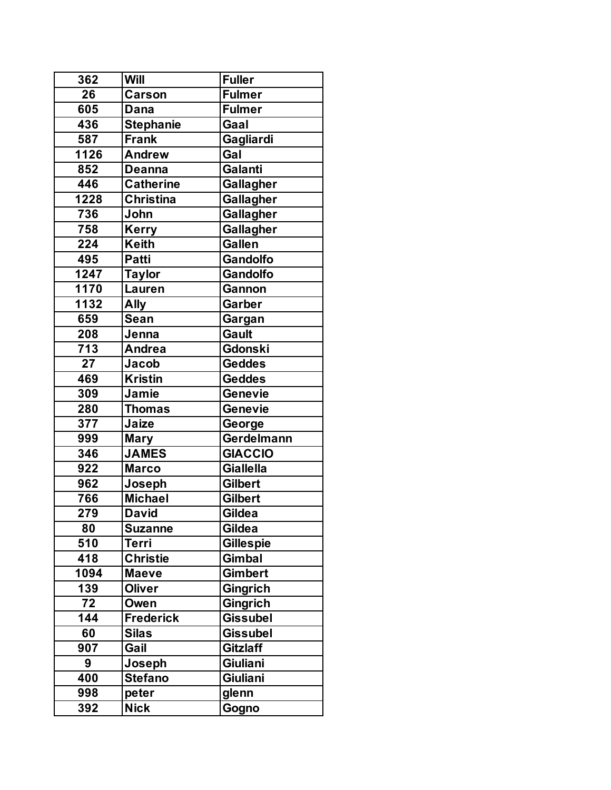| 362             | Will             | Fuller           |
|-----------------|------------------|------------------|
| $\overline{26}$ | Carson           | <b>Fulmer</b>    |
| 605             | Dana             | <b>Fulmer</b>    |
| 436             | <b>Stephanie</b> | Gaal             |
| 587             | <b>Frank</b>     | Gagliardi        |
| 1126            | <b>Andrew</b>    | Gal              |
| 852             | <b>Deanna</b>    | Galanti          |
| 446             | <b>Catherine</b> | Gallagher        |
| 1228            | <b>Christina</b> | Gallagher        |
| 736             | John             | Gallagher        |
| 758             | Kerry            | Gallagher        |
| 224             | <b>Keith</b>     | <b>Gallen</b>    |
| 495             | <b>Patti</b>     | <b>Gandolfo</b>  |
| 1247            | <b>Taylor</b>    | <b>Gandolfo</b>  |
| 1170            | Lauren           | Gannon           |
| 1132            | <b>Ally</b>      | Garber           |
| 659             | <b>Sean</b>      | Gargan           |
| 208             | Jenna            | <b>Gault</b>     |
| 713             | <b>Andrea</b>    | Gdonski          |
| 27              | Jacob            | <b>Geddes</b>    |
| 469             | <b>Kristin</b>   | <b>Geddes</b>    |
| 309             | Jamie            | Genevie          |
| 280             | <b>Thomas</b>    | Genevie          |
| 377             | Jaize            | George           |
| 999             | <b>Mary</b>      | Gerdelmann       |
| 346             | <b>JAMES</b>     | <b>GIACCIO</b>   |
| 922             | <b>Marco</b>     | <b>Giallella</b> |
| 962             | Joseph           | <b>Gilbert</b>   |
| 766             | <b>Michael</b>   | <b>Gilbert</b>   |
| 279             | <b>David</b>     | Gildea           |
| 80              | <b>Suzanne</b>   | Gildea           |
| 510             | <b>Terri</b>     | <b>Gillespie</b> |
| 418             | <b>Christie</b>  | <b>Gimbal</b>    |
| 1094            | <b>Maeve</b>     | <b>Gimbert</b>   |
| 139             | Oliver           | <b>Gingrich</b>  |
| 72              | Owen             | Gingrich         |
| 144             | <b>Frederick</b> | <b>Gissubel</b>  |
| 60              | <b>Silas</b>     | <b>Gissubel</b>  |
| 907             | Gail             | <b>Gitzlaff</b>  |
| 9               | Joseph           | Giuliani         |
| 400             | <b>Stefano</b>   | Giuliani         |
| 998             | peter            | glenn            |
| 392             | <b>Nick</b>      | Gogno            |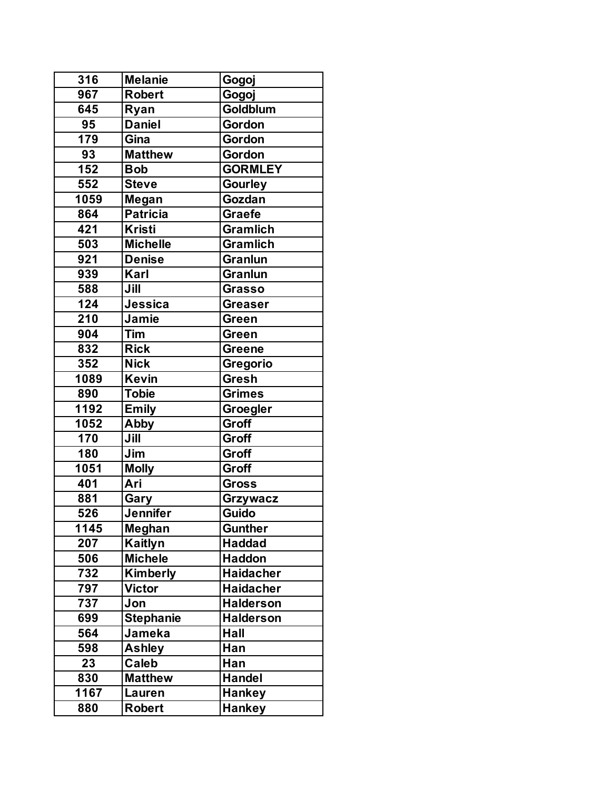| 316  | <b>Melanie</b>   | Gogoj            |
|------|------------------|------------------|
| 967  | <b>Robert</b>    | Gogoj            |
| 645  | Ryan             | Goldblum         |
| 95   | <b>Daniel</b>    | Gordon           |
| 179  | Gina             | Gordon           |
| 93   | <b>Matthew</b>   | Gordon           |
| 152  | <b>Bob</b>       | <b>GORMLEY</b>   |
| 552  | <b>Steve</b>     | Gourley          |
| 1059 | Megan            | Gozdan           |
| 864  | <b>Patricia</b>  | <b>Graefe</b>    |
| 421  | <b>Kristi</b>    | <b>Gramlich</b>  |
| 503  | <b>Michelle</b>  | <b>Gramlich</b>  |
| 921  | <b>Denise</b>    | <b>Granlun</b>   |
| 939  | Karl             | <b>Granlun</b>   |
| 588  | Jill             | <b>Grasso</b>    |
| 124  | Jessica          | <b>Greaser</b>   |
| 210  | Jamie            | Green            |
| 904  | Tim              | Green            |
| 832  | <b>Rick</b>      | <b>Greene</b>    |
| 352  | <b>Nick</b>      | Gregorio         |
| 1089 | <b>Kevin</b>     | <b>Gresh</b>     |
| 890  | <b>Tobie</b>     | <b>Grimes</b>    |
| 1192 | <b>Emily</b>     | Groegler         |
| 1052 | Abby             | <b>Groff</b>     |
| 170  | Jill             | Groff            |
| 180  | Jim              | Groff            |
| 1051 | <b>Molly</b>     | Groff            |
| 401  | Ari              | <b>Gross</b>     |
| 881  | Gary             | Grzywacz         |
| 526  | Jennifer         | Guido            |
| 1145 | Meghan           | <b>Gunther</b>   |
| 207  | Kaitlyn          | <b>Haddad</b>    |
| 506  | <b>Michele</b>   | <b>Haddon</b>    |
| 732  | Kimberly         | <b>Haidacher</b> |
| 797  | <b>Victor</b>    | <b>Haidacher</b> |
| 737  | Jon              | <b>Halderson</b> |
| 699  | <b>Stephanie</b> | <b>Halderson</b> |
| 564  | Jameka           | Hall             |
| 598  | <b>Ashley</b>    | Han              |
| 23   | <b>Caleb</b>     | Han              |
| 830  | <b>Matthew</b>   | <b>Handel</b>    |
| 1167 | <b>Lauren</b>    | <b>Hankey</b>    |
| 880  | <b>Robert</b>    | <b>Hankey</b>    |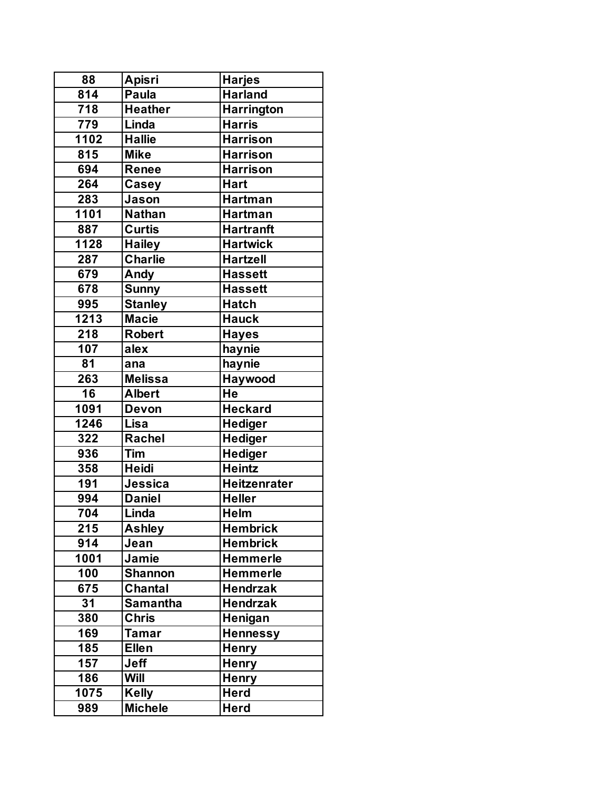| 88               | <b>Apisri</b>   | <b>Harjes</b>       |
|------------------|-----------------|---------------------|
| $\overline{814}$ | Paula           | <b>Harland</b>      |
| 718              | <b>Heather</b>  | <b>Harrington</b>   |
| 779              | Linda           | <b>Harris</b>       |
| 1102             | <b>Hallie</b>   | <b>Harrison</b>     |
| 815              | <b>Mike</b>     | <b>Harrison</b>     |
| 694              | <b>Renee</b>    | <b>Harrison</b>     |
| 264              | Casey           | <b>Hart</b>         |
| 283              | Jason           | <b>Hartman</b>      |
| 1101             | Nathan          | <b>Hartman</b>      |
| 887              | <b>Curtis</b>   | <b>Hartranft</b>    |
| 1128             | <b>Hailey</b>   | <b>Hartwick</b>     |
| 287              | <b>Charlie</b>  | <b>Hartzell</b>     |
| 679              | Andy            | <b>Hassett</b>      |
| 678              | <b>Sunny</b>    | <b>Hassett</b>      |
| 995              | <b>Stanley</b>  | <b>Hatch</b>        |
| 1213             | <b>Macie</b>    | <b>Hauck</b>        |
| 218              | <b>Robert</b>   | <b>Hayes</b>        |
| 107              | alex            | haynie              |
| 81               | ana             | haynie              |
| 263              | <b>Melissa</b>  | Haywood             |
| 16               | <b>Albert</b>   | He                  |
| 1091             | <b>Devon</b>    | <b>Heckard</b>      |
| 1246             | Lisa            | <b>Hediger</b>      |
| 322              | <b>Rachel</b>   | <b>Hediger</b>      |
| 936              | Tim             | Hediger             |
| 358              | <b>Heidi</b>    | <b>Heintz</b>       |
| 191              | Jessica         | <b>Heitzenrater</b> |
| 994              | <b>Daniel</b>   | <b>Heller</b>       |
| 704              | Linda           | <b>Helm</b>         |
| 215              | <b>Ashley</b>   | <b>Hembrick</b>     |
| 914              | Jean            | <b>Hembrick</b>     |
| 1001             | Jamie           | <b>Hemmerle</b>     |
| 100              | <b>Shannon</b>  | <b>Hemmerle</b>     |
| 675              | <b>Chantal</b>  | <b>Hendrzak</b>     |
| 31               | <b>Samantha</b> | <b>Hendrzak</b>     |
| 380              | <b>Chris</b>    | Henigan             |
| 169              | <b>Tamar</b>    | <b>Hennessy</b>     |
| 185              | <b>Ellen</b>    | <b>Henry</b>        |
| 157              | <b>Jeff</b>     | <b>Henry</b>        |
| 186              | Will            | <b>Henry</b>        |
| 1075             | <b>Kelly</b>    | <b>Herd</b>         |
| 989              | <b>Michele</b>  | <b>Herd</b>         |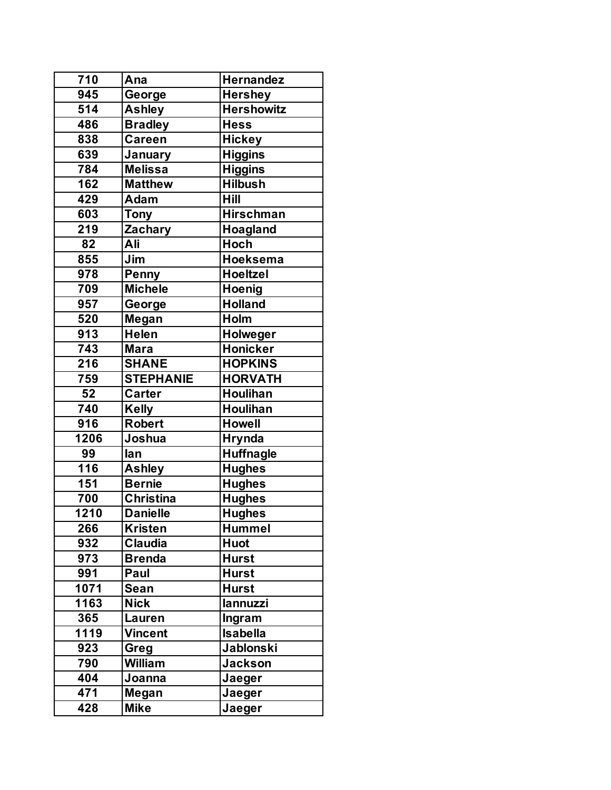| 710               | Ana              | Hernandez         |
|-------------------|------------------|-------------------|
| 945               | George           | <b>Hershey</b>    |
| 514               | <b>Ashley</b>    | <b>Hershowitz</b> |
| 486               | <b>Bradley</b>   | <b>Hess</b>       |
| 838               | <b>Careen</b>    | <b>Hickey</b>     |
| 639               | January          | <b>Higgins</b>    |
| 784               | <b>Melissa</b>   | <b>Higgins</b>    |
| 162               | <b>Matthew</b>   | <b>Hilbush</b>    |
| 429               | Adam             | <b>Hill</b>       |
| 603               | <b>Tony</b>      | <b>Hirschman</b>  |
| 219               | Zachary          | Hoagland          |
| 82                | Ali              | <b>Hoch</b>       |
| 855               | Jim              | <b>Hoeksema</b>   |
| 978               | Penny            | <b>Hoeltzel</b>   |
| 709               | <b>Michele</b>   | Hoenig            |
| 957               | George           | <b>Holland</b>    |
| 520               | Megan            | <b>Holm</b>       |
| 913               | <b>Helen</b>     | <b>Holweger</b>   |
| $\overline{7}$ 43 | <b>Mara</b>      | <b>Honicker</b>   |
| 216               | <b>SHANE</b>     | <b>HOPKINS</b>    |
| 759               | <b>STEPHANIE</b> | <b>HORVATH</b>    |
| 52                | <b>Carter</b>    | <b>Houlihan</b>   |
| 740               | Kelly            | Houlihan          |
| 916               | <b>Robert</b>    | <b>Howell</b>     |
| 1206              | Joshua           | <b>Hrynda</b>     |
| 99                | lan              | <b>Huffnagle</b>  |
| 116               | <b>Ashley</b>    | <b>Hughes</b>     |
| 151               | <b>Bernie</b>    | <b>Hughes</b>     |
| 700               | <b>Christina</b> | <b>Hughes</b>     |
| 1210              | <b>Danielle</b>  | <b>Hughes</b>     |
| 266               | <b>Kristen</b>   | <b>Hummel</b>     |
| 932               | <b>Claudia</b>   | <b>Huot</b>       |
| 973               | <b>Brenda</b>    | <b>Hurst</b>      |
| 991               | Paul             | <b>Hurst</b>      |
| 1071              | Sean             | Hurst             |
| 1163              | <b>Nick</b>      | lannuzzi          |
| 365               | Lauren           | Ingram            |
| 1119              | <b>Vincent</b>   | <b>Isabella</b>   |
| 923               | Greg             | Jablonski         |
| 790               | <b>William</b>   | <b>Jackson</b>    |
| 404               | Joanna           | Jaeger            |
| 471               | Megan            | Jaeger            |
| 428               | <b>Mike</b>      | Jaeger            |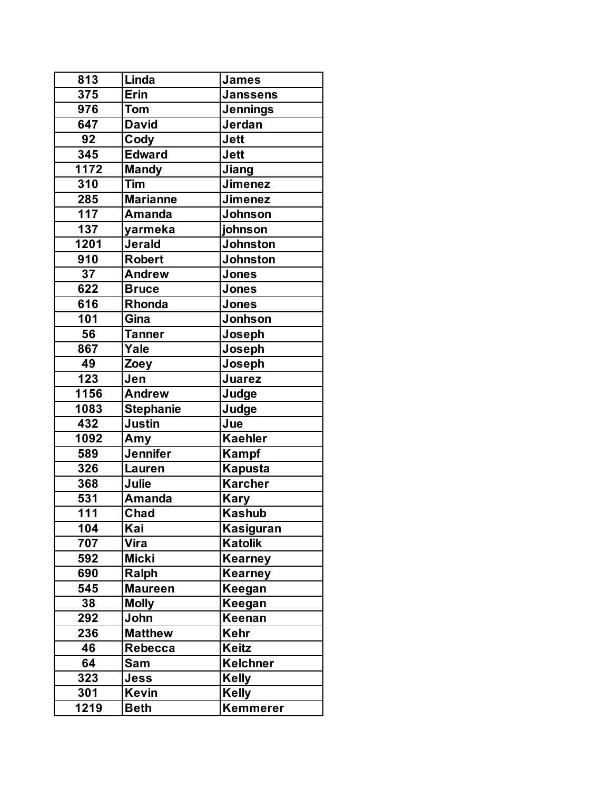| 813             | Linda              | <b>James</b>     |
|-----------------|--------------------|------------------|
| 375             | Erin               | <b>Janssens</b>  |
| 976             | Tom                | <b>Jennings</b>  |
| 647             | <b>David</b>       | Jerdan           |
| 92              | Cody               | <b>Jett</b>      |
| 345             | <b>Edward</b>      | <b>Jett</b>      |
| 1172            | <b>Mandy</b>       | Jiang            |
| 310             | Tim                | <b>Jimenez</b>   |
| 285             | <b>Marianne</b>    | <b>Jimenez</b>   |
| 117             | <b>Amanda</b>      | <b>Johnson</b>   |
| 137             | yarmeka            | johnson          |
| 1201            | <b>Jerald</b>      | <b>Johnston</b>  |
| 910             | <b>Robert</b>      | <b>Johnston</b>  |
| $\overline{37}$ | <b>Andrew</b>      | <b>Jones</b>     |
| 622             | <b>Bruce</b>       | <b>Jones</b>     |
| 616             | Rhonda             | <b>Jones</b>     |
| 101             | Gina               | <b>Jonhson</b>   |
| 56              | <b>Tanner</b>      | Joseph           |
| 867             | Yale               | Joseph           |
| 49              | Zoey               | Joseph           |
| 123             | Jen                | Juarez           |
| 1156            | <b>Andrew</b>      | Judge            |
| 1083            | Stephanie          | Judge            |
| 432             | <b>Justin</b>      | Jue              |
| 1092            | Amy                | <b>Kaehler</b>   |
| 589             | <b>Jennifer</b>    | Kampf            |
| 326             | Lauren             | <b>Kapusta</b>   |
| 368             | Julie              | <b>Karcher</b>   |
| 531             | <b>Amanda</b>      | <b>Kary</b>      |
| 111             | $\overline{C}$ had | <b>Kashub</b>    |
| 104             | Kai                | <b>Kasiguran</b> |
| 707             | Vira               | <b>Katolik</b>   |
| 592             | <b>Micki</b>       | <b>Kearney</b>   |
| 690             | Ralph              | Kearney          |
| 545             | <b>Maureen</b>     | Keegan           |
| 38              | <b>Molly</b>       | Keegan           |
| 292             | John               | Keenan           |
| 236             | <b>Matthew</b>     | Kehr             |
| 46              | Rebecca            | <b>Keitz</b>     |
| 64              | Sam                | <b>Kelchner</b>  |
| 323             | Jess               | <b>Kelly</b>     |
| 301             | <b>Kevin</b>       | <b>Kelly</b>     |
| 1219            | <b>Beth</b>        | Kemmerer         |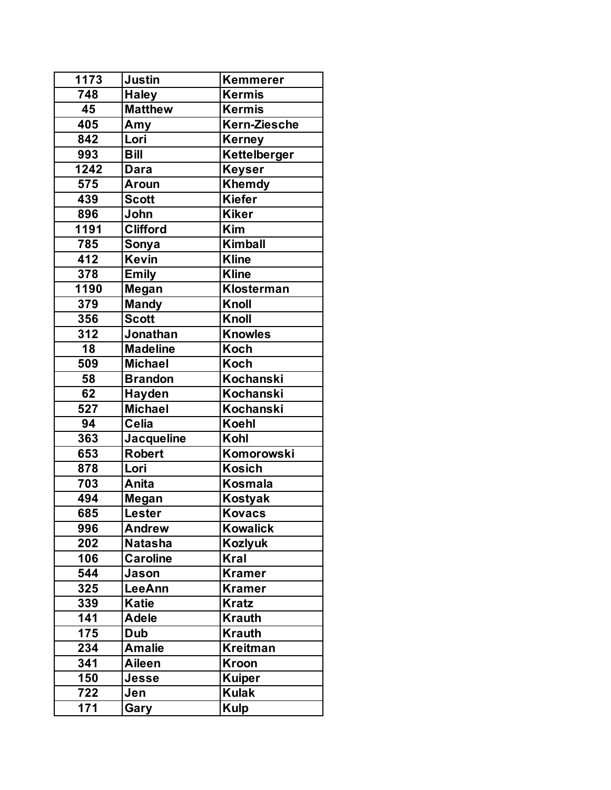| 1173 | Justin            | <b>Kemmerer</b>  |
|------|-------------------|------------------|
| 748  | <b>Haley</b>      | <b>Kermis</b>    |
| 45   | <b>Matthew</b>    | <b>Kermis</b>    |
| 405  | Amy               | Kern-Ziesche     |
| 842  | Lori              | Kerney           |
| 993  | <b>Bill</b>       | Kettelberger     |
| 1242 | Dara              | Keyser           |
| 575  | <b>Aroun</b>      | Khemdy           |
| 439  | <b>Scott</b>      | <b>Kiefer</b>    |
| 896  | John              | <b>Kiker</b>     |
| 1191 | <b>Clifford</b>   | Kim              |
| 785  | Sonya             | <b>Kimball</b>   |
| 412  | <b>Kevin</b>      | <b>Kline</b>     |
| 378  | <b>Emily</b>      | <b>Kline</b>     |
| 1190 | Megan             | Klosterman       |
| 379  | <b>Mandy</b>      | Knoll            |
| 356  | <b>Scott</b>      | Knoll            |
| 312  | Jonathan          | <b>Knowles</b>   |
| 18   | <b>Madeline</b>   | Koch             |
| 509  | <b>Michael</b>    | <b>Koch</b>      |
| 58   | <b>Brandon</b>    | Kochanski        |
| 62   | <b>Hayden</b>     | <b>Kochanski</b> |
| 527  | <b>Michael</b>    | Kochanski        |
| 94   | <b>Celia</b>      | <b>Koehl</b>     |
| 363  | <b>Jacqueline</b> | Kohl             |
| 653  | <b>Robert</b>     | Komorowski       |
| 878  | Lori              | <b>Kosich</b>    |
| 703  | Anita             | <b>Kosmala</b>   |
| 494  | Megan             | Kostyak          |
| 685  | Lester            | <b>Kovacs</b>    |
| 996  | <b>Andrew</b>     | <b>Kowalick</b>  |
| 202  | <b>Natasha</b>    | <b>Kozlyuk</b>   |
| 106  | <b>Caroline</b>   | <b>Kral</b>      |
| 544  | Jason             | <b>Kramer</b>    |
| 325  | <b>LeeAnn</b>     | Kramer           |
| 339  | <b>Katie</b>      | <b>Kratz</b>     |
| 141  | <b>Adele</b>      | <b>Krauth</b>    |
| 175  | <b>Dub</b>        | <b>Krauth</b>    |
| 234  | <b>Amalie</b>     | Kreitman         |
| 341  | Aileen            | <b>Kroon</b>     |
| 150  | Jesse             | <b>Kuiper</b>    |
| 722  | Jen               | <b>Kulak</b>     |
| 171  | Gary              | <b>Kulp</b>      |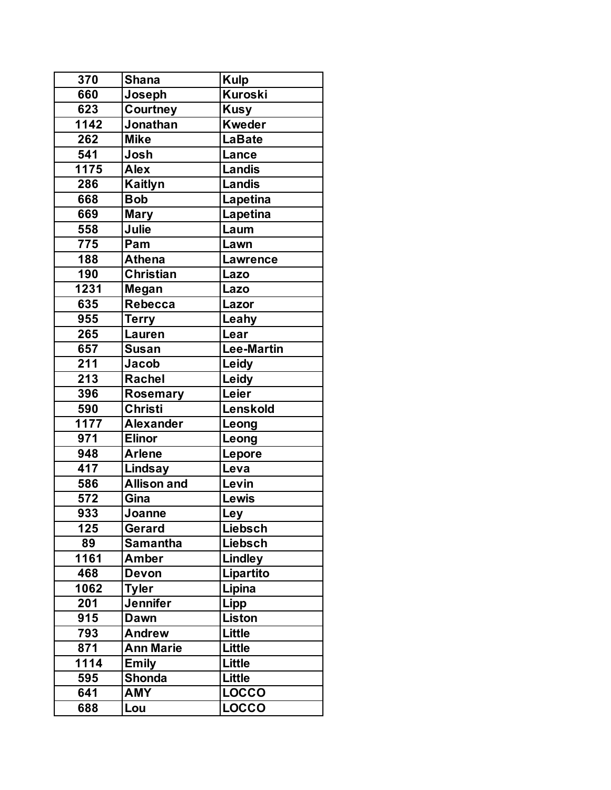| 370               | <b>Shana</b>       | <b>Kulp</b>       |
|-------------------|--------------------|-------------------|
| 660               | Joseph             | Kuroski           |
| 623               | Courtney           | <b>Kusy</b>       |
| $1142$            | Jonathan           | <b>Kweder</b>     |
| 262               | <b>Mike</b>        | <b>LaBate</b>     |
| 541               | Josh               | Lance             |
| 1175              | <b>Alex</b>        | <b>Landis</b>     |
| 286               | <b>Kaitlyn</b>     | <b>Landis</b>     |
| 668               | <b>Bob</b>         | Lapetina          |
| 669               | <b>Mary</b>        | Lapetina          |
| 558               | Julie              | Laum              |
| 775               | Pam                | Lawn              |
| 188               | <b>Athena</b>      | <b>Lawrence</b>   |
| 190               | <b>Christian</b>   | Lazo              |
| 1231              | Megan              | Lazo              |
| 635               | <b>Rebecca</b>     | Lazor             |
| 955               | <b>Terry</b>       | Leahy             |
| 265               | Lauren             | Lear              |
| 657               | <b>Susan</b>       | <b>Lee-Martin</b> |
| 211               | Jacob              | Leidy             |
| 213               | Rachel             | Leidy             |
| 396               | <b>Rosemary</b>    | Leier             |
| 590               | <b>Christi</b>     | Lenskold          |
| $11\overline{77}$ | <b>Alexander</b>   | Leong             |
| 971               | <b>Elinor</b>      | Leong             |
| 948               | <b>Arlene</b>      | Lepore            |
| 417               | Lindsay            | Leva              |
| 586               | <b>Allison and</b> | Levin             |
| 572               | Gina               | Lewis             |
| 933               | Joanne             | Ley               |
| 125               | Gerard             | <b>Liebsch</b>    |
| 89                | <b>Samantha</b>    | Liebsch           |
| 1161              | <b>Amber</b>       | <b>Lindley</b>    |
| 468               | <b>Devon</b>       | Lipartito         |
| 1062              | <b>Tyler</b>       | Lipina            |
| 201               | <b>Jennifer</b>    | Lipp              |
| 915               | <b>Dawn</b>        | <b>Liston</b>     |
| 793               | <b>Andrew</b>      | <b>Little</b>     |
| 871               | <b>Ann Marie</b>   | Little            |
| 1114              | <b>Emily</b>       | <b>Little</b>     |
| 595               | <b>Shonda</b>      | <b>Little</b>     |
| 641               | <b>AMY</b>         | <b>LOCCO</b>      |
| 688               | Lou                | <b>LOCCO</b>      |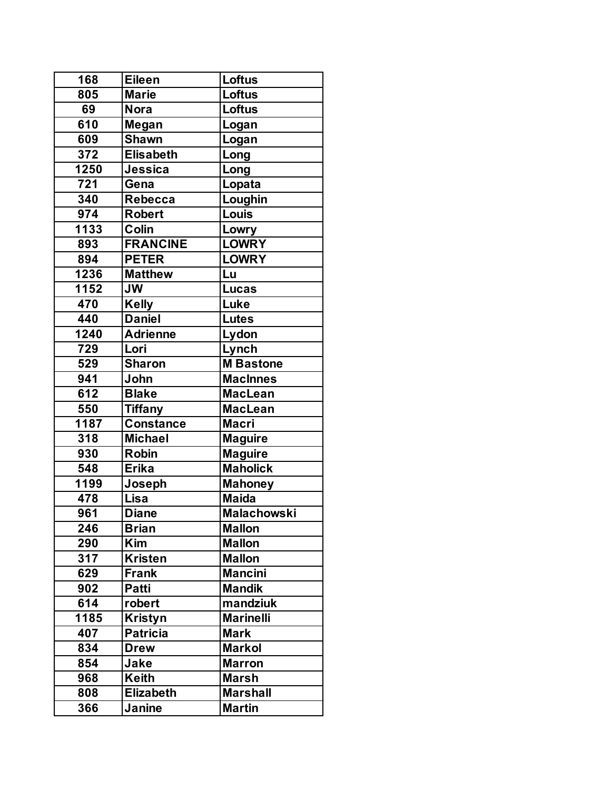| 168  | <b>Eileen</b>    | Loftus             |
|------|------------------|--------------------|
| 805  | <b>Marie</b>     | Loftus             |
| 69   | <b>Nora</b>      | Loftus             |
| 610  | Megan            | Logan              |
| 609  | <b>Shawn</b>     | Logan              |
| 372  | <b>Elisabeth</b> | Long               |
| 1250 | Jessica          | Long               |
| 721  | Gena             | Lopata             |
| 340  | <b>Rebecca</b>   | Loughin            |
| 974  | <b>Robert</b>    | Louis              |
| 1133 | Colin            | Lowry              |
| 893  | <b>FRANCINE</b>  | <b>LOWRY</b>       |
| 894  | <b>PETER</b>     | <b>LOWRY</b>       |
| 1236 | <b>Matthew</b>   | Lu                 |
| 1152 | <b>JW</b>        | <b>Lucas</b>       |
| 470  | <b>Kelly</b>     | Luke               |
| 440  | <b>Daniel</b>    | <b>Lutes</b>       |
| 1240 | <b>Adrienne</b>  | Lydon              |
| 729  | Lori             | Lynch              |
| 529  | <b>Sharon</b>    | <b>M</b> Bastone   |
| 941  | John             | <b>MacInnes</b>    |
| 612  | <b>Blake</b>     | <b>MacLean</b>     |
| 550  | <b>Tiffany</b>   | <b>MacLean</b>     |
| 1187 | <b>Constance</b> | <b>Macri</b>       |
| 318  | <b>Michael</b>   | <b>Maguire</b>     |
| 930  | <b>Robin</b>     | <b>Maguire</b>     |
| 548  | <b>Erika</b>     | <b>Maholick</b>    |
| 1199 | Joseph           | <b>Mahoney</b>     |
| 478  | Lisa             | <b>Maida</b>       |
| 961  | <b>Diane</b>     | <b>Malachowski</b> |
| 246  | <b>Brian</b>     | <b>Mallon</b>      |
| 290  | <b>Kim</b>       | <b>Mallon</b>      |
| 317  | <b>Kristen</b>   | <b>Mallon</b>      |
| 629  | <b>Frank</b>     | <b>Mancini</b>     |
| 902  | Patti            | <b>Mandik</b>      |
| 614  | robert           | mandziuk           |
| 1185 | <b>Kristyn</b>   | <b>Marinelli</b>   |
| 407  | <b>Patricia</b>  | <b>Mark</b>        |
| 834  | <b>Drew</b>      | <b>Markol</b>      |
| 854  | Jake             | <b>Marron</b>      |
| 968  | Keith            | <b>Marsh</b>       |
| 808  | <b>Elizabeth</b> | <b>Marshall</b>    |
| 366  | Janine           | <b>Martin</b>      |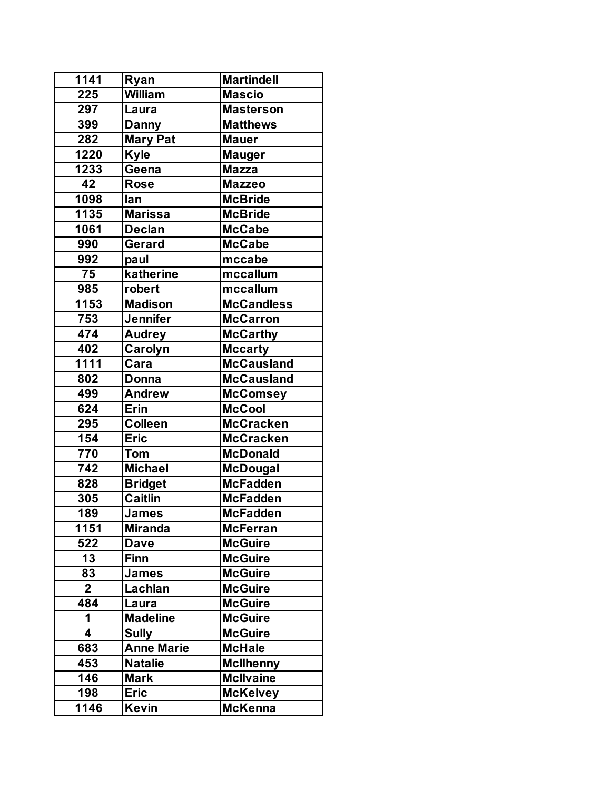| 1141        | Ryan              | <b>Martindell</b> |
|-------------|-------------------|-------------------|
| 225         | <b>William</b>    | <b>Mascio</b>     |
| 297         | Laura             | <b>Masterson</b>  |
| 399         | <b>Danny</b>      | <b>Matthews</b>   |
| 282         | <b>Mary Pat</b>   | <b>Mauer</b>      |
| 1220        | <b>Kyle</b>       | <b>Mauger</b>     |
| 1233        | Geena             | <b>Mazza</b>      |
| 42          | <b>Rose</b>       | <b>Mazzeo</b>     |
| 1098        | lan               | <b>McBride</b>    |
| 1135        | <b>Marissa</b>    | <b>McBride</b>    |
| 1061        | <b>Declan</b>     | <b>McCabe</b>     |
| 990         | Gerard            | <b>McCabe</b>     |
| 992         | paul              | mccabe            |
| 75          | katherine         | mccallum          |
| 985         | robert            | mccallum          |
| 1153        | <b>Madison</b>    | <b>McCandless</b> |
| 753         | <b>Jennifer</b>   | <b>McCarron</b>   |
| 474         | <b>Audrey</b>     | <b>McCarthy</b>   |
| 402         | Carolyn           | <b>Mccarty</b>    |
| 1111        | Cara              | <b>McCausland</b> |
| 802         | Donna             | <b>McCausland</b> |
| 499         | <b>Andrew</b>     | <b>McComsey</b>   |
| 624         | Erin              | <b>McCool</b>     |
| 295         | <b>Colleen</b>    | <b>McCracken</b>  |
| 154         | <b>Eric</b>       | <b>McCracken</b>  |
| 770         | <b>Tom</b>        | <b>McDonald</b>   |
| 742         | <b>Michael</b>    | <b>McDougal</b>   |
| 828         | <b>Bridget</b>    | <b>McFadden</b>   |
| 305         | <b>Caitlin</b>    | <b>McFadden</b>   |
| 189         | <b>James</b>      | <b>McFadden</b>   |
| 1151        | <b>Miranda</b>    | <b>McFerran</b>   |
| 522         | <b>Dave</b>       | <b>McGuire</b>    |
| 13          | <b>Finn</b>       | <b>McGuire</b>    |
| 83          | <b>James</b>      | <b>McGuire</b>    |
| $\mathbf 2$ | Lachlan           | <b>McGuire</b>    |
| 484         | Laura             | <b>McGuire</b>    |
| 1           | <b>Madeline</b>   | <b>McGuire</b>    |
| 4           | <b>Sully</b>      | <b>McGuire</b>    |
| 683         | <b>Anne Marie</b> | <b>McHale</b>     |
| 453         | <b>Natalie</b>    | <b>McIlhenny</b>  |
| 146         | <b>Mark</b>       | <b>McIlvaine</b>  |
| 198         | <b>Eric</b>       | <b>McKelvey</b>   |
| 1146        | Kevin             | <b>McKenna</b>    |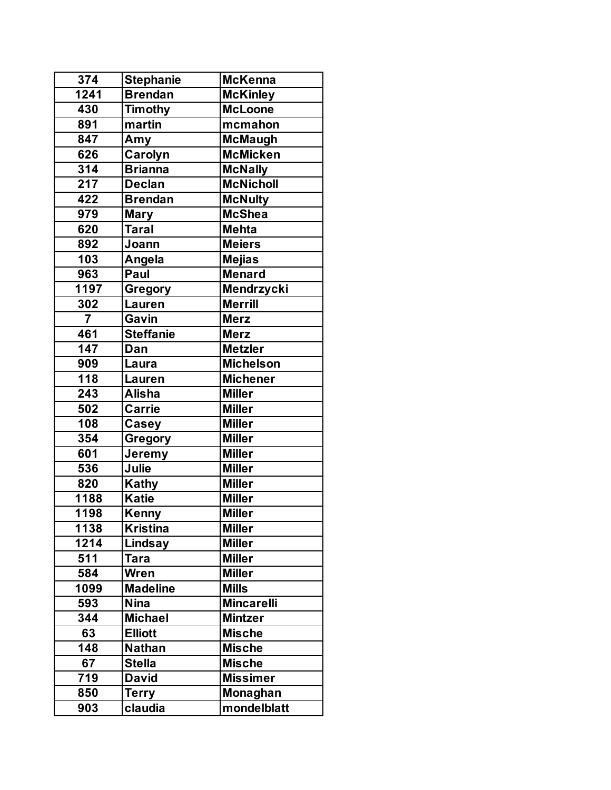| 374                     | <b>Stephanie</b> | <b>McKenna</b>    |
|-------------------------|------------------|-------------------|
| 1241                    | <b>Brendan</b>   | <b>McKinley</b>   |
| 430                     | <b>Timothy</b>   | <b>McLoone</b>    |
| 891                     | martin           | mcmahon           |
| 847                     | Amy              | <b>McMaugh</b>    |
| 626                     | Carolyn          | <b>McMicken</b>   |
| 314                     | <b>Brianna</b>   | <b>McNally</b>    |
| 217                     | <b>Declan</b>    | <b>McNicholl</b>  |
| 422                     | <b>Brendan</b>   | <b>McNulty</b>    |
| 979                     | <b>Mary</b>      | <b>McShea</b>     |
| 620                     | <b>Taral</b>     | <b>Mehta</b>      |
| 892                     | Joann            | <b>Meiers</b>     |
| 103                     | Angela           | <b>Mejias</b>     |
| 963                     | Paul             | <b>Menard</b>     |
| 1197                    | Gregory          | <b>Mendrzycki</b> |
| 302                     | Lauren           | <b>Merrill</b>    |
| $\overline{\mathbf{7}}$ | Gavin            | <b>Merz</b>       |
| 461                     | <b>Steffanie</b> | <b>Merz</b>       |
| 147                     | Dan              | <b>Metzler</b>    |
| 909                     | Laura            | <b>Michelson</b>  |
| 118                     | Lauren           | <b>Michener</b>   |
| 243                     | <b>Alisha</b>    | <b>Miller</b>     |
| 502                     | <b>Carrie</b>    | <b>Miller</b>     |
| 108                     | Casey            | <b>Miller</b>     |
| 354                     | <b>Gregory</b>   | <b>Miller</b>     |
| 601                     | Jerem <u>y</u>   | <b>Miller</b>     |
| 536                     | Julie            | <b>Miller</b>     |
| 820                     | <b>Kathy</b>     | <b>Miller</b>     |
| 1188                    | <b>Katie</b>     | <b>Miller</b>     |
| 1198                    | Kenny            | <b>Miller</b>     |
| 1138                    | <b>Kristina</b>  | <b>Miller</b>     |
| 1214                    | Lindsay          | <b>Miller</b>     |
| 511                     | <b>Tara</b>      | <b>Miller</b>     |
| 584                     | Wren             | <b>Miller</b>     |
| 1099                    | <b>Madeline</b>  | <b>Mills</b>      |
| 593                     | <b>Nina</b>      | <b>Mincarelli</b> |
| 344                     | <b>Michael</b>   | <b>Mintzer</b>    |
| 63                      | <b>Elliott</b>   | <b>Mische</b>     |
| 148                     | <b>Nathan</b>    | <b>Mische</b>     |
| 67                      | <b>Stella</b>    | <b>Mische</b>     |
| 719                     | <b>David</b>     | <b>Missimer</b>   |
| 850                     | <b>Terry</b>     | Monaghan          |
| 903                     | claudia          | mondelblatt       |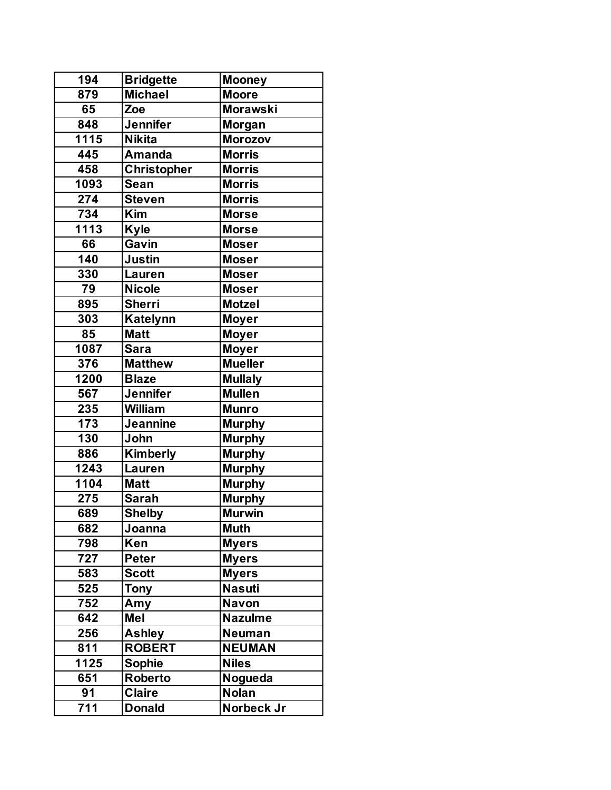| 194              | <b>Bridgette</b>   | <b>Mooney</b>   |
|------------------|--------------------|-----------------|
| 879              | <b>Michael</b>     | <b>Moore</b>    |
| 65               | Zoe                | <b>Morawski</b> |
| 848              | <b>Jennifer</b>    | Morgan          |
| 1115             | <b>Nikita</b>      | <b>Morozov</b>  |
| 445              | <b>Amanda</b>      | <b>Morris</b>   |
| 458              | <b>Christopher</b> | <b>Morris</b>   |
| 1093             | <b>Sean</b>        | <b>Morris</b>   |
| 274              | <b>Steven</b>      | <b>Morris</b>   |
| $\overline{734}$ | <b>Kim</b>         | <b>Morse</b>    |
| 1113             | <b>Kyle</b>        | <b>Morse</b>    |
| 66               | Gavin              | <b>Moser</b>    |
| 140              | <b>Justin</b>      | <b>Moser</b>    |
| 330              | <b>Lauren</b>      | <b>Moser</b>    |
| 79               | <b>Nicole</b>      | <b>Moser</b>    |
| 895              | <b>Sherri</b>      | <b>Motzel</b>   |
| 303              | <b>Katelynn</b>    | <b>Moyer</b>    |
| 85               | <b>Matt</b>        | <b>Moyer</b>    |
| 1087             | <b>Sara</b>        | <b>Moyer</b>    |
| 376              | <b>Matthew</b>     | <b>Mueller</b>  |
| 1200             | <b>Blaze</b>       | <b>Mullaly</b>  |
| 567              | <b>Jennifer</b>    | <b>Mullen</b>   |
| 235              | <b>William</b>     | <b>Munro</b>    |
| 173              | <b>Jeannine</b>    | <b>Murphy</b>   |
| 130              | John               | <b>Murphy</b>   |
| 886              | <b>Kimberly</b>    | <b>Murphy</b>   |
| 1243             | Lauren             | <b>Murphy</b>   |
| 1104             | <b>Matt</b>        | <b>Murphy</b>   |
| 275              | <b>Sarah</b>       | <b>Murphy</b>   |
| 689              | <b>Shelby</b>      | <b>Murwin</b>   |
| 682              | Joanna             | <b>Muth</b>     |
| 798              | Ken                | <b>Myers</b>    |
| 727              | <b>Peter</b>       | <b>Myers</b>    |
| 583              | <b>Scott</b>       | <b>Myers</b>    |
| 525              | <b>Tony</b>        | <b>Nasuti</b>   |
| 752              | Amy                | <b>Navon</b>    |
| 642              | Mel                | <b>Nazulme</b>  |
| 256              | <b>Ashley</b>      | <b>Neuman</b>   |
| 811              | <b>ROBERT</b>      | <b>NEUMAN</b>   |
| 1125             | Sophie             | <b>Niles</b>    |
| 651              | <b>Roberto</b>     | Nogueda         |
| 91               | <b>Claire</b>      | <b>Nolan</b>    |
| 711              | <b>Donald</b>      | Norbeck Jr      |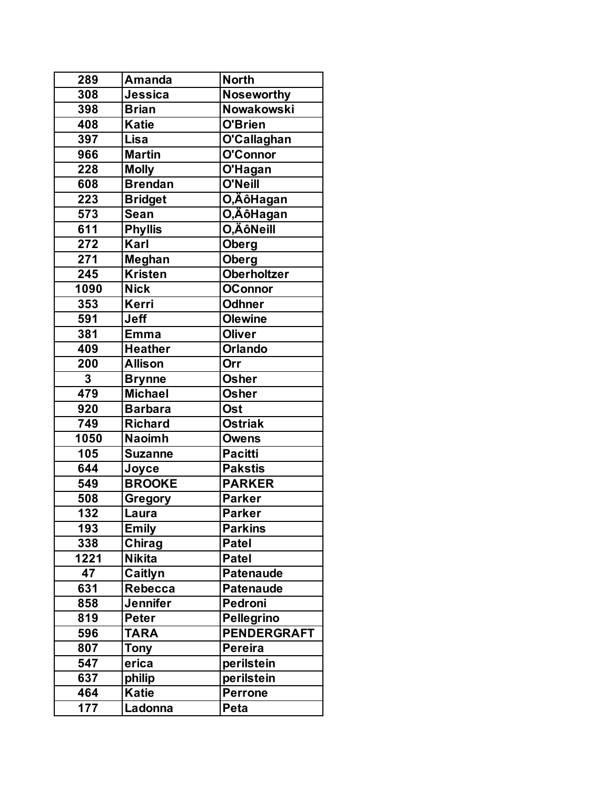| 289            | <b>Amanda</b>   | <b>North</b>       |
|----------------|-----------------|--------------------|
| 308            | Jessica         | <b>Noseworthy</b>  |
| 398            | <b>Brian</b>    | <b>Nowakowski</b>  |
| 408            | <b>Katie</b>    | O'Brien            |
| 397            | Lisa            | O'Callaghan        |
| 966            | <b>Martin</b>   | O'Connor           |
| 228            | <b>Molly</b>    | O'Hagan            |
| 608            | <b>Brendan</b>  | O'Neill            |
| 223            | <b>Bridget</b>  | O,ÄôHagan          |
| 573            | <b>Sean</b>     | O,ÄôHagan          |
| 611            | <b>Phyllis</b>  | O,ÄôNeill          |
| 272            | Karl            | <b>Oberg</b>       |
| 271            | Meghan          | Oberg              |
| 245            | <b>Kristen</b>  | <b>Oberholtzer</b> |
| 1090           | <b>Nick</b>     | <b>OConnor</b>     |
| 353            | Kerri           | <b>Odhner</b>      |
| 591            | Jeff            | <b>Olewine</b>     |
| 381            | <b>Emma</b>     | <b>Oliver</b>      |
| 409            | <b>Heather</b>  | <b>Orlando</b>     |
| 200            | <b>Allison</b>  | Orr                |
| $\overline{3}$ | <b>Brynne</b>   | <b>Osher</b>       |
| 479            | <b>Michael</b>  | <b>Osher</b>       |
| 920            | <b>Barbara</b>  | <b>Ost</b>         |
| 749            | <b>Richard</b>  | <b>Ostriak</b>     |
| 1050           | <b>Naoimh</b>   | <b>Owens</b>       |
| 105            | <b>Suzanne</b>  | <b>Pacitti</b>     |
| 644            | Joyce           | <b>Pakstis</b>     |
| 549            | <b>BROOKE</b>   | <b>PARKER</b>      |
| 508            | Gregory         | <b>Parker</b>      |
| 132            | Laura           | <b>Parker</b>      |
| 193            | <b>Emily</b>    | <b>Parkins</b>     |
| 338            | <b>Chirag</b>   | <b>Patel</b>       |
| 1221           | <b>Nikita</b>   | <b>Patel</b>       |
| 47             | Caitlyn         | <b>Patenaude</b>   |
| 631            | Rebecca         | <b>Patenaude</b>   |
| 858            | <b>Jennifer</b> | <b>Pedroni</b>     |
| 819            | <b>Peter</b>    | <b>Pellegrino</b>  |
| 596            | <b>TARA</b>     | <b>PENDERGRAFT</b> |
| 807            | Tony            | <b>Pereira</b>     |
| 547            | erica           | perilstein         |
| 637            | philip          | perilstein         |
| 464            | Katie           | <b>Perrone</b>     |
| 177            | Ladonna         | Peta               |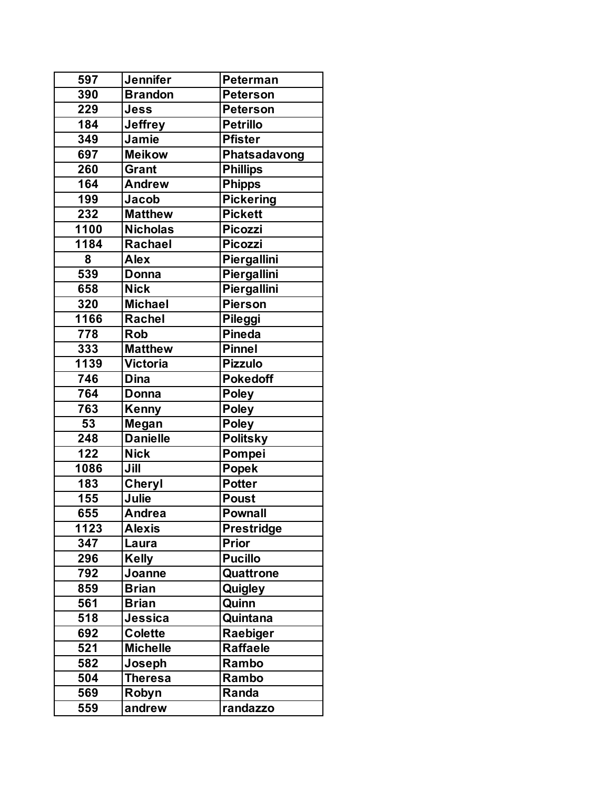| 597  | Jennifer        | Peterman           |
|------|-----------------|--------------------|
| 390  | <b>Brandon</b>  | <b>Peterson</b>    |
| 229  | Jess            | <b>Peterson</b>    |
| 184  | <b>Jeffrey</b>  | <b>Petrillo</b>    |
| 349  | Jamie           | <b>Pfister</b>     |
| 697  | <b>Meikow</b>   | Phatsadavong       |
| 260  | <b>Grant</b>    | <b>Phillips</b>    |
| 164  | <b>Andrew</b>   | <b>Phipps</b>      |
| 199  | Jacob           | <b>Pickering</b>   |
| 232  | <b>Matthew</b>  | <b>Pickett</b>     |
| 1100 | <b>Nicholas</b> | <b>Picozzi</b>     |
| 1184 | Rachael         | <b>Picozzi</b>     |
| 8    | <b>Alex</b>     | Piergallini        |
| 539  | <b>Donna</b>    | <b>Piergallini</b> |
| 658  | <b>Nick</b>     | Piergallini        |
| 320  | <b>Michael</b>  | Pierson            |
| 1166 | Rachel          | Pileggi            |
| 778  | <b>Rob</b>      | <b>Pineda</b>      |
| 333  | <b>Matthew</b>  | <b>Pinnel</b>      |
| 1139 | <b>Victoria</b> | Pizzulo            |
| 746  | <b>Dina</b>     | <b>Pokedoff</b>    |
| 764  | <b>Donna</b>    | <b>Poley</b>       |
| 763  | Kenny           | Poley              |
| 53   | Megan           | Poley              |
| 248  | <b>Danielle</b> | <b>Politsky</b>    |
| 122  | <b>Nick</b>     | Pompei             |
| 1086 | Jill            | Popek              |
| 183  | <b>Cheryl</b>   | <b>Potter</b>      |
| 155  | Julie           | <b>Poust</b>       |
| 655  | Andrea          | <b>Pownall</b>     |
| 1123 | <b>Alexis</b>   | <b>Prestridge</b>  |
| 347  | Laura           | <b>Prior</b>       |
| 296  | <b>Kelly</b>    | <b>Pucillo</b>     |
| 792  | Joanne          | <b>Quattrone</b>   |
| 859  | <b>Brian</b>    | <b>Quigley</b>     |
| 561  | <b>Brian</b>    | Quinn              |
| 518  | Jessica         | Quintana           |
| 692  | <b>Colette</b>  | Raebiger           |
| 521  | <b>Michelle</b> | <b>Raffaele</b>    |
| 582  | Joseph          | Rambo              |
| 504  | <b>Theresa</b>  | Rambo              |
| 569  | Robyn           | Randa              |
| 559  | andrew          | randazzo           |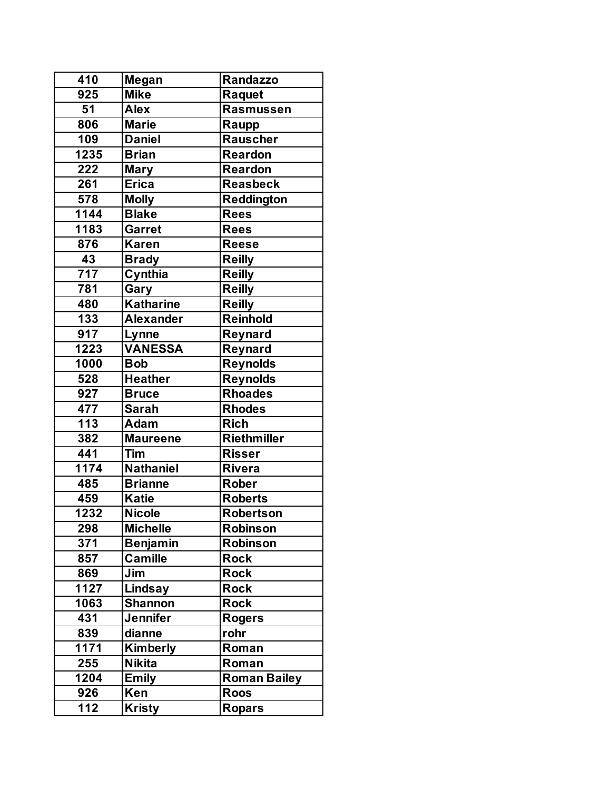| 410              | <b>Megan</b>     | <b>Randazzo</b>     |
|------------------|------------------|---------------------|
| 925              | <b>Mike</b>      | Raquet              |
| 51               | <b>Alex</b>      | Rasmussen           |
| 806              | <b>Marie</b>     | Raupp               |
| 109              | <b>Daniel</b>    | <b>Rauscher</b>     |
| 1235             | <b>Brian</b>     | <b>Reardon</b>      |
| 222              | <b>Mary</b>      | <b>Reardon</b>      |
| 261              | <b>Erica</b>     | Reasbeck            |
| 578              | <b>Molly</b>     | <b>Reddington</b>   |
| 1144             | <b>Blake</b>     | <b>Rees</b>         |
| 1183             | Garret           | <b>Rees</b>         |
| 876              | <b>Karen</b>     | <b>Reese</b>        |
| 43               | <b>Brady</b>     | <b>Reilly</b>       |
| $\overline{717}$ | Cynthia          | <b>Reilly</b>       |
| 781              | Gary             | <b>Reilly</b>       |
| 480              | <b>Katharine</b> | <b>Reilly</b>       |
| 133              | <b>Alexander</b> | Reinhold            |
| $\overline{9}17$ | Lynne            | Reynard             |
| 1223             | <b>VANESSA</b>   | Reynard             |
| 1000             | <b>Bob</b>       | <b>Reynolds</b>     |
| 528              | <b>Heather</b>   | <b>Reynolds</b>     |
| 927              | <b>Bruce</b>     | <b>Rhoades</b>      |
| 477              | <b>Sarah</b>     | <b>Rhodes</b>       |
| 113              | Adam             | <b>Rich</b>         |
| 382              | <b>Maureene</b>  | <b>Riethmiller</b>  |
| 441              | Tim              | <b>Risser</b>       |
| 1174             | <b>Nathaniel</b> | <b>Rivera</b>       |
| 485              | <b>Brianne</b>   | <b>Rober</b>        |
| 459              | <b>Katie</b>     | <b>Roberts</b>      |
| 1232             | <b>Nicole</b>    | <b>Robertson</b>    |
| 298              | <b>Michelle</b>  | <b>Robinson</b>     |
| 371              | <b>Benjamin</b>  | <b>Robinson</b>     |
| 857              | <b>Camille</b>   | <b>Rock</b>         |
| 869              | Jim              | <b>Rock</b>         |
| 1127             | Lindsay          | <b>Rock</b>         |
| 1063             | <b>Shannon</b>   | <b>Rock</b>         |
| 431              | <b>Jennifer</b>  | <b>Rogers</b>       |
| 839              | dianne           | rohr                |
| 1171             | Kimberly         | Roman               |
| 255              | <b>Nikita</b>    | Roman               |
| 1204             | <b>Emily</b>     | <b>Roman Bailey</b> |
| 926              | Ken              | <b>Roos</b>         |
| 112              | <b>Kristy</b>    | <b>Ropars</b>       |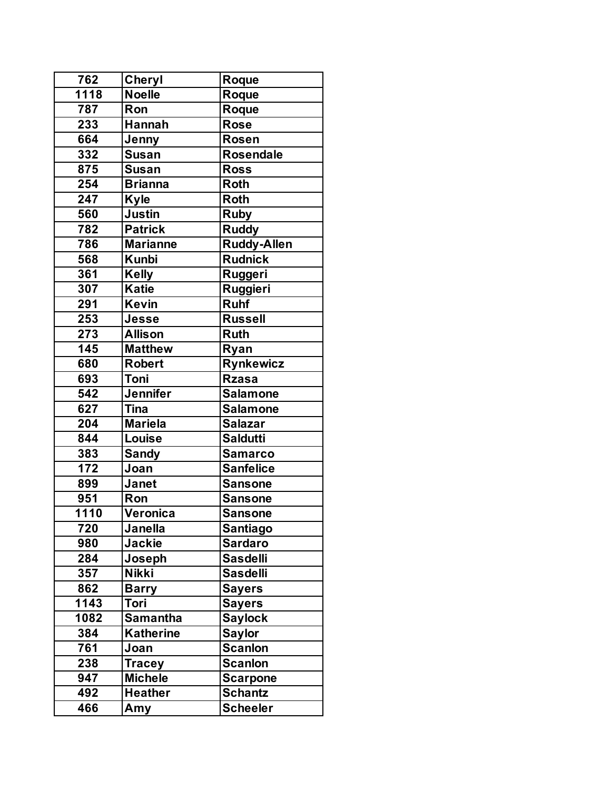| 762  | <b>Cheryl</b>                 | Roque            |
|------|-------------------------------|------------------|
| 1118 | <b>Noelle</b>                 | Roque            |
| 787  | Ron                           | Roque            |
| 233  | <b>Hannah</b>                 | <b>Rose</b>      |
| 664  | Jenny                         | <b>Rosen</b>     |
| 332  | <b>Susan</b>                  | <b>Rosendale</b> |
| 875  | <b>Susan</b>                  | <b>Ross</b>      |
| 254  | <b>Brianna</b>                | <b>Roth</b>      |
| 247  | <b>Kyle</b>                   | <b>Roth</b>      |
| 560  | $\overline{\mathsf{J}}$ ustin | <b>Ruby</b>      |
| 782  | <b>Patrick</b>                | <b>Ruddy</b>     |
| 786  | <b>Marianne</b>               | Ruddy-Allen      |
| 568  | <b>Kunbi</b>                  | <b>Rudnick</b>   |
| 361  | <b>Kelly</b>                  | Ruggeri          |
| 307  | <b>Katie</b>                  | Ruggieri         |
| 291  | <b>Kevin</b>                  | <b>Ruhf</b>      |
| 253  | Jesse                         | <b>Russell</b>   |
| 273  | <b>Allison</b>                | <b>Ruth</b>      |
| 145  | <b>Matthew</b>                | Ryan             |
| 680  | <b>Robert</b>                 | <b>Rynkewicz</b> |
| 693  | Toni                          | <b>Rzasa</b>     |
| 542  | <b>Jennifer</b>               | <b>Salamone</b>  |
| 627  | <b>Tina</b>                   | <b>Salamone</b>  |
| 204  | <b>Mariela</b>                | <b>Salazar</b>   |
| 844  | Louise                        | <b>Saldutti</b>  |
| 383  | <b>Sandy</b>                  | <b>Samarco</b>   |
| 172  | Joan                          | <b>Sanfelice</b> |
| 899  | <b>Janet</b>                  | <b>Sansone</b>   |
| 951  | Ron                           | <b>Sansone</b>   |
| 1110 | Veronica                      | <b>Sansone</b>   |
| 720  | <b>Janella</b>                | <b>Santiago</b>  |
| 980  | <b>Jackie</b>                 | <b>Sardaro</b>   |
| 284  | Joseph                        | <b>Sasdelli</b>  |
| 357  | <b>Nikki</b>                  | <b>Sasdelli</b>  |
| 862  | <b>Barry</b>                  | <b>Sayers</b>    |
| 1143 | Tori                          | <b>Sayers</b>    |
| 1082 | <b>Samantha</b>               | <b>Saylock</b>   |
| 384  | <b>Katherine</b>              | <b>Saylor</b>    |
| 761  | Joan                          | Scanlon          |
| 238  | <b>Tracey</b>                 | <b>Scanlon</b>   |
| 947  | <b>Michele</b>                | <b>Scarpone</b>  |
| 492  | <b>Heather</b>                | <b>Schantz</b>   |
| 466  | Amy                           | <b>Scheeler</b>  |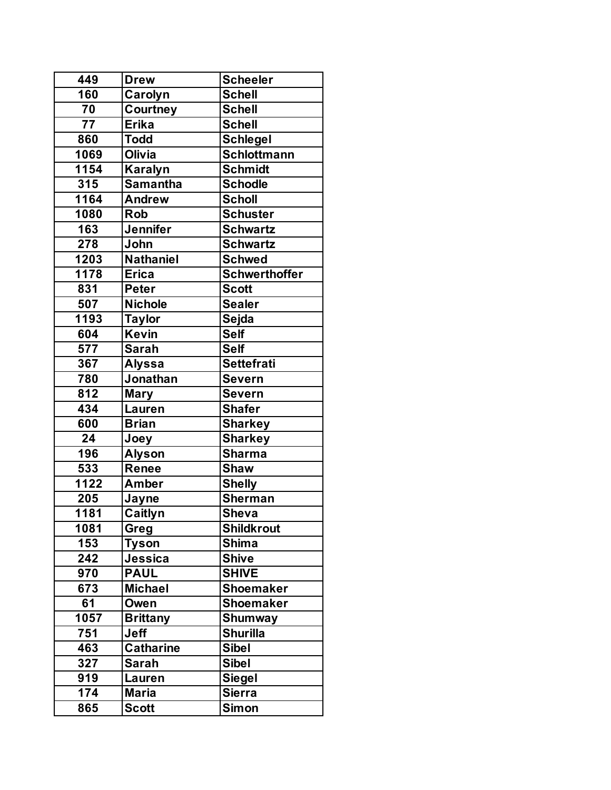| 449  | <b>Drew</b>      | <b>Scheeler</b>      |
|------|------------------|----------------------|
| 160  | Carolyn          | <b>Schell</b>        |
| 70   | Courtney         | <b>Schell</b>        |
| 77   | Erika            | <b>Schell</b>        |
| 860  | <b>Todd</b>      | <b>Schlegel</b>      |
| 1069 | <b>Olivia</b>    | <b>Schlottmann</b>   |
| 1154 | <b>Karalyn</b>   | <b>Schmidt</b>       |
| 315  | <b>Samantha</b>  | <b>Schodle</b>       |
| 1164 | <b>Andrew</b>    | <b>Scholl</b>        |
| 1080 | <b>Rob</b>       | <b>Schuster</b>      |
| 163  | <b>Jennifer</b>  | <b>Schwartz</b>      |
| 278  | John             | <b>Schwartz</b>      |
| 1203 | <b>Nathaniel</b> | <b>Schwed</b>        |
| 1178 | <b>Erica</b>     | <b>Schwerthoffer</b> |
| 831  | <b>Peter</b>     | <b>Scott</b>         |
| 507  | <b>Nichole</b>   | <b>Sealer</b>        |
| 1193 | <b>Taylor</b>    | Sejda                |
| 604  | <b>Kevin</b>     | <b>Self</b>          |
| 577  | <b>Sarah</b>     | <b>Self</b>          |
| 367  | <b>Alyssa</b>    | <b>Settefrati</b>    |
| 780  | Jonathan         | <b>Severn</b>        |
| 812  | <b>Mary</b>      | <b>Severn</b>        |
| 434  | Lauren           | <b>Shafer</b>        |
| 600  | <b>Brian</b>     | <b>Sharkey</b>       |
| 24   | Joey             | <b>Sharkey</b>       |
| 196  | <b>Alyson</b>    | <b>Sharma</b>        |
| 533  | Renee            | <b>Shaw</b>          |
| 1122 | <b>Amber</b>     | <b>Shelly</b>        |
| 205  | Jayne            | <b>Sherman</b>       |
| 1181 | Caitlyn          | <b>Sheva</b>         |
| 1081 | Greg             | <b>Shildkrout</b>    |
| 153  | <b>Tyson</b>     | <b>Shima</b>         |
| 242  | <b>Jessica</b>   | <b>Shive</b>         |
| 970  | <b>PAUL</b>      | <b>SHIVE</b>         |
| 673  | <b>Michael</b>   | <b>Shoemaker</b>     |
| 61   | Owen             | <b>Shoemaker</b>     |
| 1057 | <b>Brittany</b>  | <b>Shumway</b>       |
| 751  | Jeff             | <b>Shurilla</b>      |
| 463  | <b>Catharine</b> | <b>Sibel</b>         |
| 327  | <b>Sarah</b>     | <b>Sibel</b>         |
| 919  | Lauren           | <b>Siegel</b>        |
| 174  | <b>Maria</b>     | <b>Sierra</b>        |
| 865  | <b>Scott</b>     | Simon                |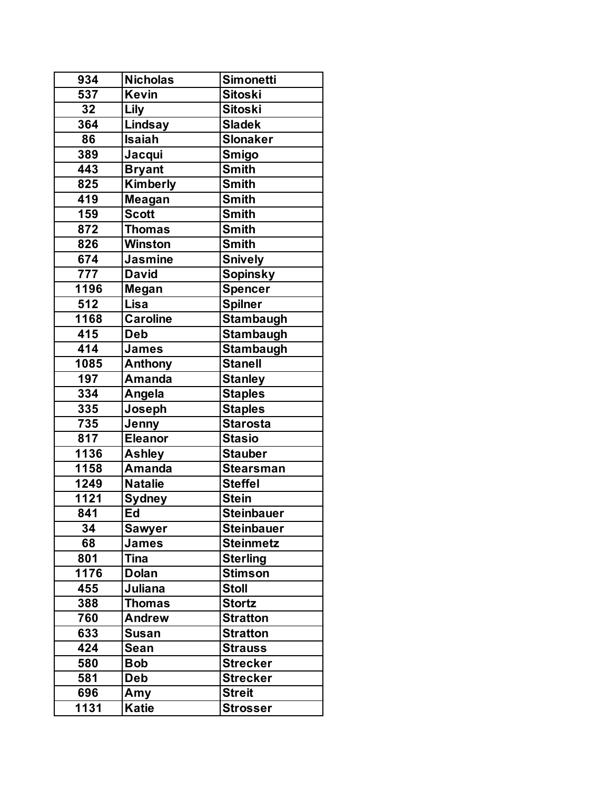| 934  | <b>Nicholas</b> | <b>Simonetti</b>  |
|------|-----------------|-------------------|
| 537  | <b>Kevin</b>    | <b>Sitoski</b>    |
| 32   | Lily            | <b>Sitoski</b>    |
| 364  | <b>Lindsay</b>  | <b>Sladek</b>     |
| 86   | <b>Isaiah</b>   | <b>Slonaker</b>   |
| 389  | Jacqui          | <b>Smigo</b>      |
| 443  | <b>Bryant</b>   | <b>Smith</b>      |
| 825  | Kimberly        | <b>Smith</b>      |
| 419  | Meagan          | <b>Smith</b>      |
| 159  | <b>Scott</b>    | <b>Smith</b>      |
| 872  | <b>Thomas</b>   | <b>Smith</b>      |
| 826  | Winston         | <b>Smith</b>      |
| 674  | <b>Jasmine</b>  | <b>Snively</b>    |
| 777  | <b>David</b>    | <b>Sopinsky</b>   |
| 1196 | Megan           | <b>Spencer</b>    |
| 512  | Lisa            | <b>Spilner</b>    |
| 1168 | <b>Caroline</b> | <b>Stambaugh</b>  |
| 415  | <b>Deb</b>      | <b>Stambaugh</b>  |
| 414  | James           | <b>Stambaugh</b>  |
| 1085 | Anthony         | <b>Stanell</b>    |
| 197  | <b>Amanda</b>   | <b>Stanley</b>    |
| 334  | Angela          | <b>Staples</b>    |
| 335  | Joseph          | <b>Staples</b>    |
| 735  | Jenny           | <b>Starosta</b>   |
| 817  | <b>Eleanor</b>  | <b>Stasio</b>     |
| 1136 | <b>Ashley</b>   | <b>Stauber</b>    |
| 1158 | <b>Amanda</b>   | <b>Stearsman</b>  |
| 1249 | <b>Natalie</b>  | <b>Steffel</b>    |
| 1121 | <b>Sydney</b>   | <b>Stein</b>      |
| 841  | Ed              | <b>Steinbauer</b> |
| 34   | <b>Sawyer</b>   | <b>Steinbauer</b> |
| 68   | James           | <b>Steinmetz</b>  |
| 801  | <b>Tina</b>     | <b>Sterling</b>   |
| 1176 | <b>Dolan</b>    | <b>Stimson</b>    |
| 455  | Juliana         | <b>Stoll</b>      |
| 388  | <b>Thomas</b>   | <b>Stortz</b>     |
| 760  | <b>Andrew</b>   | <b>Stratton</b>   |
| 633  | <b>Susan</b>    | <b>Stratton</b>   |
| 424  | Sean            | <b>Strauss</b>    |
| 580  | <b>Bob</b>      | <b>Strecker</b>   |
| 581  | <b>Deb</b>      | <b>Strecker</b>   |
| 696  | Amy             | <b>Streit</b>     |
| 1131 | <b>Katie</b>    | <b>Strosser</b>   |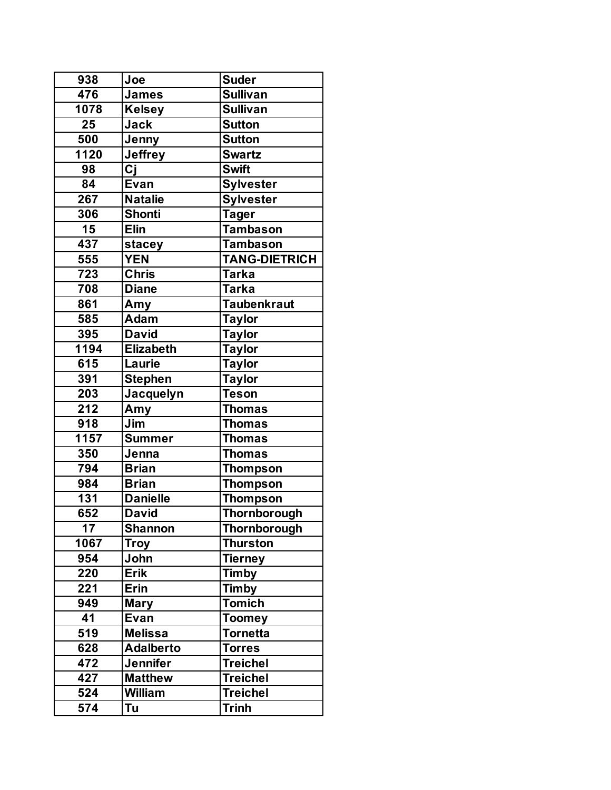| 938              | Joe              | <b>Suder</b>           |
|------------------|------------------|------------------------|
| 476              | James            | <b>Sullivan</b>        |
| 1078             | <b>Kelsey</b>    | <b>Sullivan</b>        |
| 25               | <b>Jack</b>      | <b>Sutton</b>          |
| 500              | Jenny            | <b>Sutton</b>          |
| 1120             | <b>Jeffrey</b>   | <b>Swartz</b>          |
| 98               | Cj               | <b>Swift</b>           |
| 84               | Evan             | <b>Sylvester</b>       |
| 267              | <b>Natalie</b>   | <b>Sylvester</b>       |
| 306              | <b>Shonti</b>    | <b>Tager</b>           |
| 15               | <b>Elin</b>      | $\overline{T}$ ambason |
| $\overline{437}$ | stacey           | <b>Tambason</b>        |
| 555              | <b>YEN</b>       | <b>TANG-DIETRICH</b>   |
| 723              | <b>Chris</b>     | <b>Tarka</b>           |
| 708              | <b>Diane</b>     | <b>Tarka</b>           |
| 861              | Amy              | Taubenkraut            |
| 585              | <b>Adam</b>      | <b>Taylor</b>          |
| 395              | <b>David</b>     | <b>Taylor</b>          |
| 1194             | <b>Elizabeth</b> | <b>Taylor</b>          |
| 615              | Laurie           | <b>Taylor</b>          |
| 391              | <b>Stephen</b>   | <b>Taylor</b>          |
| 203              | Jacquelyn        | <b>Teson</b>           |
| 212              | Amy              | <b>Thomas</b>          |
| 918              | Jim              | <b>Thomas</b>          |
| 1157             | <b>Summer</b>    | <b>Thomas</b>          |
| 350              | Jenna            | <b>Thomas</b>          |
| 794              | <b>Brian</b>     | <b>Thompson</b>        |
| 984              | <b>Brian</b>     | <b>Thompson</b>        |
| 131              | <b>Danielle</b>  | <b>Thompson</b>        |
| 652              | <b>David</b>     | Thornborough           |
| 17               | <b>Shannon</b>   | Thornborough           |
| 1067             | <b>Troy</b>      | <b>Thurston</b>        |
| 954              | John             | Tierney                |
| 220              | <b>Erik</b>      | <b>Timby</b>           |
| 221              | <b>Erin</b>      | <b>Timby</b>           |
| 949              | <b>Mary</b>      | <b>Tomich</b>          |
| 41               | Evan             | <b>Toomey</b>          |
| 519              | <b>Melissa</b>   | <b>Tornetta</b>        |
| 628              | <b>Adalberto</b> | <b>Torres</b>          |
| 472              | <b>Jennifer</b>  | <b>Treichel</b>        |
| 427              | <b>Matthew</b>   | <b>Treichel</b>        |
| 524              | <b>William</b>   | <b>Treichel</b>        |
| 574              | Tu               | <b>Trinh</b>           |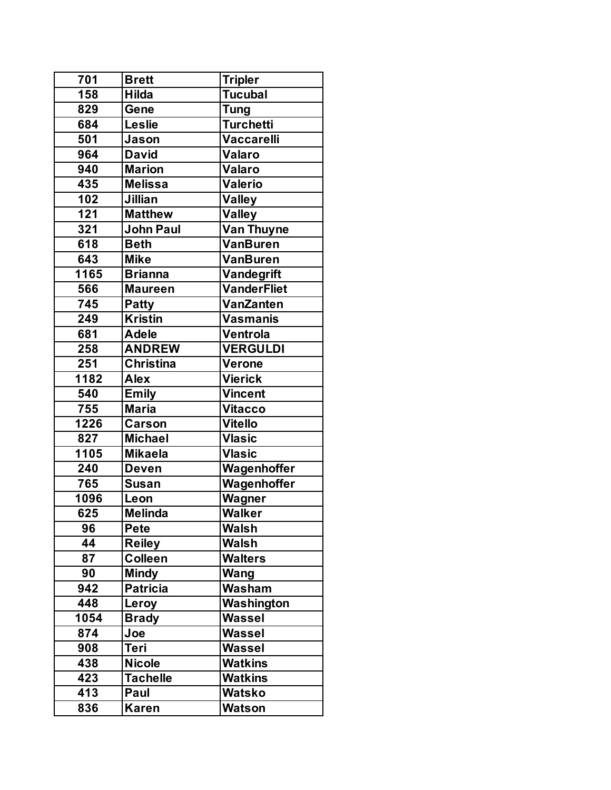| 701              | <b>Brett</b>     | <b>Tripler</b>        |
|------------------|------------------|-----------------------|
| $\overline{158}$ | <b>Hilda</b>     | $\overline{T}$ ucubal |
| 829              | Gene             | <b>Tung</b>           |
| 684              | <b>Leslie</b>    | <b>Turchetti</b>      |
| 501              | Jason            | Vaccarelli            |
| 964              | <b>David</b>     | <b>Valaro</b>         |
| 940              | <b>Marion</b>    | <b>Valaro</b>         |
| 435              | <b>Melissa</b>   | <b>Valerio</b>        |
| 102              | Jillian          | <b>Valley</b>         |
| 121              | <b>Matthew</b>   | <b>Valley</b>         |
| 321              | John Paul        | Van Thuyne            |
| 618              | <b>Beth</b>      | <b>VanBuren</b>       |
| 643              | <b>Mike</b>      | <b>VanBuren</b>       |
| 1165             | <b>Brianna</b>   | Vandegrift            |
| 566              | <b>Maureen</b>   | <b>VanderFliet</b>    |
| 745              | <b>Patty</b>     | VanZanten             |
| 249              | <b>Kristin</b>   | <b>Vasmanis</b>       |
| 681              | <b>Adele</b>     | Ventrola              |
| 258              | <b>ANDREW</b>    | <b>VERGULDI</b>       |
| 251              | <b>Christina</b> | Verone                |
| 1182             | <b>Alex</b>      | <b>Vierick</b>        |
| 540              | <b>Emily</b>     | <b>Vincent</b>        |
| 755              | <b>Maria</b>     | <b>Vitacco</b>        |
| 1226             | <b>Carson</b>    | <b>Vitello</b>        |
| 827              | <b>Michael</b>   | <b>Vlasic</b>         |
| 1105             | <b>Mikaela</b>   | <b>Vlasic</b>         |
| 240              | <b>Deven</b>     | Wagenhoffer           |
| 765              | <b>Susan</b>     | Wagenhoffer           |
| 1096             | Leon             | Wagner                |
| 625              | <b>Melinda</b>   | Walker                |
| 96               | <b>Pete</b>      | <b>Walsh</b>          |
| 44               | <b>Reiley</b>    | Walsh                 |
| 87               | <b>Colleen</b>   | <b>Walters</b>        |
| 90               | <b>Mindy</b>     | Wang                  |
| 942              | <b>Patricia</b>  | Washam                |
| 448              | Leroy            | Washington            |
| 1054             | <b>Brady</b>     | Wassel                |
| 874              | Joe              | Wassel                |
| 908              | Teri             | Wassel                |
| 438              | <b>Nicole</b>    | <b>Watkins</b>        |
| 423              | <b>Tachelle</b>  | <b>Watkins</b>        |
| 413              | Paul             | <b>Watsko</b>         |
| 836              | Karen            | <b>Watson</b>         |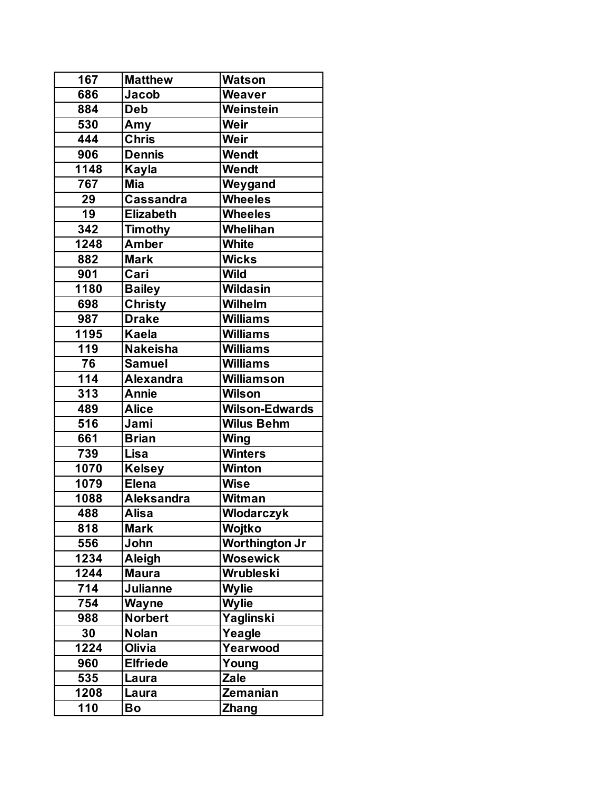| 167              | <b>Matthew</b>    | <b>Watson</b>         |
|------------------|-------------------|-----------------------|
| 686              | Jacob             | Weaver                |
| 884              | <b>Deb</b>        | Weinstein             |
| 530              | Amy               | Weir                  |
| 444              | <b>Chris</b>      | Weir                  |
| 906              | <b>Dennis</b>     | Wendt                 |
| 1148             | Kayla             | <b>Wendt</b>          |
| 767              | <b>Mia</b>        | Weygand               |
| 29               | <b>Cassandra</b>  | <b>Wheeles</b>        |
| 19               | Elizabeth         | <b>Wheeles</b>        |
| 342              | <b>Timothy</b>    | Whelihan              |
| 1248             | <b>Amber</b>      | <b>White</b>          |
| 882              | <b>Mark</b>       | <b>Wicks</b>          |
| 901              | Cari              | <b>Wild</b>           |
| 1180             | <b>Bailey</b>     | <b>Wildasin</b>       |
| 698              | Christy           | <b>Wilhelm</b>        |
| 987              | <b>Drake</b>      | <b>Williams</b>       |
| 1195             | <b>Kaela</b>      | Williams              |
| 119              | <b>Nakeisha</b>   | Williams              |
| 76               | <b>Samuel</b>     | <b>Williams</b>       |
| 114              | <b>Alexandra</b>  | <b>Williamson</b>     |
| 313              | <b>Annie</b>      | <b>Wilson</b>         |
| 489              | <b>Alice</b>      | <b>Wilson-Edwards</b> |
| 516              | Jami              | <b>Wilus Behm</b>     |
| 661              | <b>Brian</b>      | <b>Wing</b>           |
| $\overline{7}39$ | Lisa              | <b>Winters</b>        |
| 1070             | <b>Kelsey</b>     | Winton                |
| 1079             | <b>Elena</b>      | <b>Wise</b>           |
| 1088             | <b>Aleksandra</b> | <b>Witman</b>         |
| 488              | <b>Alisa</b>      | <b>Wlodarczyk</b>     |
| 818              | <b>Mark</b>       | Wojtko                |
| 556              | John              | <b>Worthington Jr</b> |
| 1234             | Aleigh            | <b>Wosewick</b>       |
| 1244             | <b>Maura</b>      | Wrubleski             |
| 714              | <b>Julianne</b>   | <b>Wylie</b>          |
| 754              | <b>Wayne</b>      | <b>Wylie</b>          |
| 988              | Norbert           | Yaglinski             |
| 30               | <b>Nolan</b>      | Yeagle                |
| 1224             | Olivia            | Yearwood              |
| 960              | <b>Elfriede</b>   | Young                 |
| 535              | Laura             | <b>Zale</b>           |
| 1208             | Laura             | Zemanian              |
| 110              | Bo                | <b>Zhang</b>          |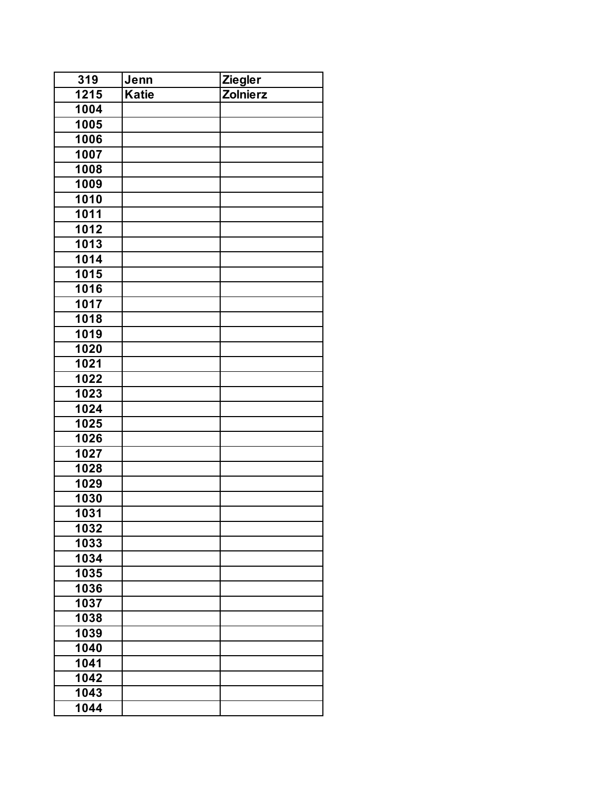| 319               | Jenn  | <b>Ziegler</b>  |
|-------------------|-------|-----------------|
| $\overline{1215}$ | Katie | <b>Zolnierz</b> |
| 1004              |       |                 |
| 1005              |       |                 |
| 1006              |       |                 |
| 1007              |       |                 |
| 1008              |       |                 |
| 1009              |       |                 |
| 1010              |       |                 |
| 1011              |       |                 |
| 1012              |       |                 |
| 1013              |       |                 |
| 1014              |       |                 |
| 1015              |       |                 |
| 1016              |       |                 |
| $\overline{10}17$ |       |                 |
| 1018              |       |                 |
| 1019              |       |                 |
| 1020              |       |                 |
| 1021              |       |                 |
| 1022              |       |                 |
| 1023              |       |                 |
| 1024              |       |                 |
| 1025              |       |                 |
| 1026              |       |                 |
| 1027              |       |                 |
| 1028              |       |                 |
| 1029              |       |                 |
| 1030              |       |                 |
| 1031              |       |                 |
| 1032              |       |                 |
| 1033              |       |                 |
| 1034              |       |                 |
| 1035              |       |                 |
| 1036              |       |                 |
| 1037              |       |                 |
| 1038              |       |                 |
| 1039              |       |                 |
| 1040              |       |                 |
| 1041              |       |                 |
| 1042              |       |                 |
| 1043              |       |                 |
| 1044              |       |                 |